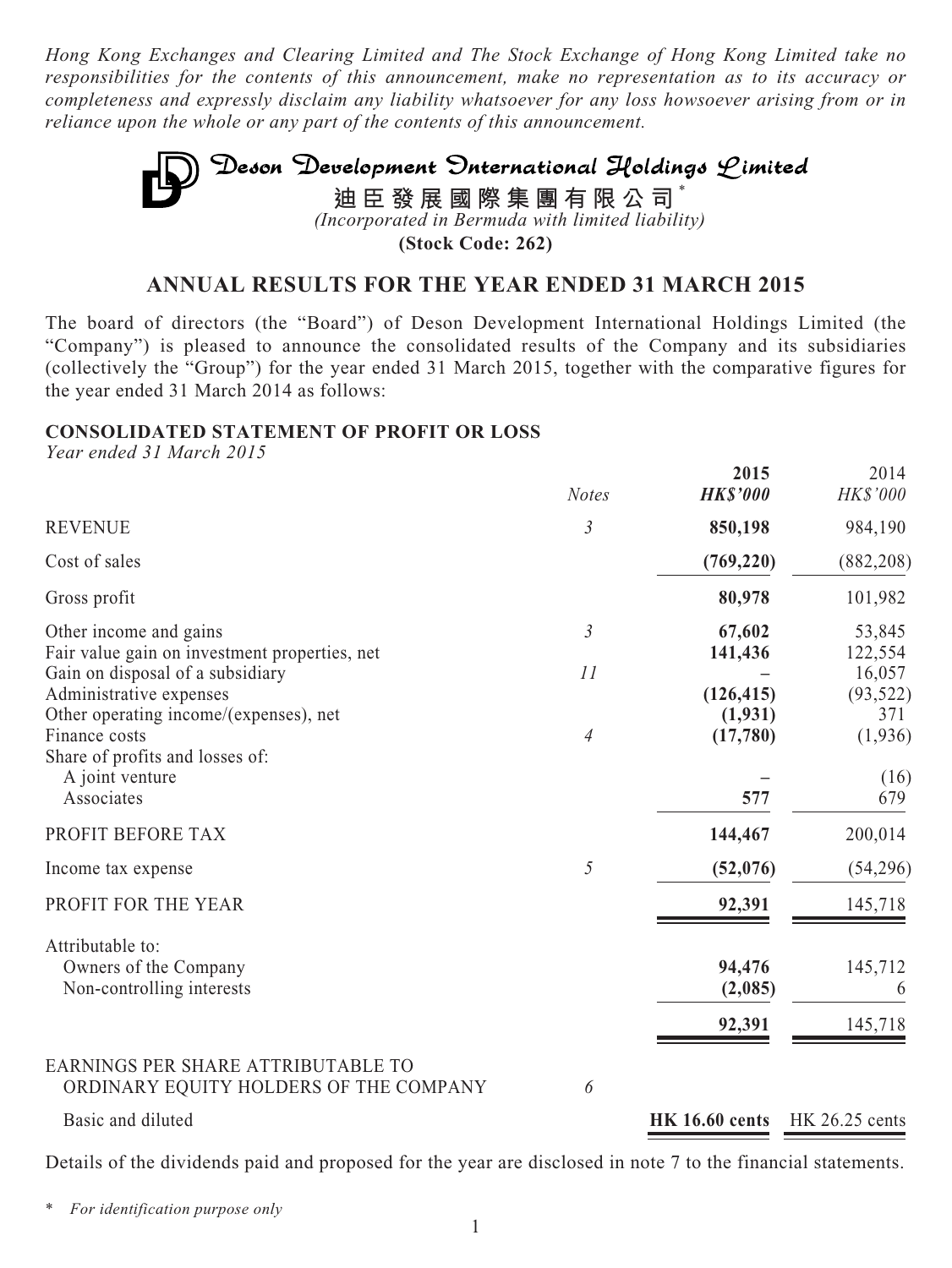*Hong Kong Exchanges and Clearing Limited and The Stock Exchange of Hong Kong Limited take no responsibilities for the contents of this announcement, make no representation as to its accuracy or completeness and expressly disclaim any liability whatsoever for any loss howsoever arising from or in reliance upon the whole or any part of the contents of this announcement.*

# Deson Development Onternational Holdings Limited **迪臣發展國際集團有限公司** \* *(Incorporated in Bermuda with limited liability)*

**(Stock Code: 262)**

### **ANNUAL RESULTS FOR THE YEAR ENDED 31 MARCH 2015**

The board of directors (the "Board") of Deson Development International Holdings Limited (the "Company") is pleased to announce the consolidated results of the Company and its subsidiaries (collectively the "Group") for the year ended 31 March 2015, together with the comparative figures for the year ended 31 March 2014 as follows:

### **CONSOLIDATED STATEMENT OF PROFIT OR LOSS**

*Year ended 31 March 2015*

|                                                                                                       | <b>Notes</b>   | 2015<br><b>HK\$'000</b> | 2014<br>HK\$'000           |
|-------------------------------------------------------------------------------------------------------|----------------|-------------------------|----------------------------|
| <b>REVENUE</b>                                                                                        | $\mathfrak{Z}$ | 850,198                 | 984,190                    |
| Cost of sales                                                                                         |                | (769, 220)              | (882, 208)                 |
| Gross profit                                                                                          |                | 80,978                  | 101,982                    |
| Other income and gains<br>Fair value gain on investment properties, net                               | $\mathfrak{Z}$ | 67,602<br>141,436       | 53,845<br>122,554          |
| Gain on disposal of a subsidiary<br>Administrative expenses<br>Other operating income/(expenses), net | 11             | (126, 415)<br>(1, 931)  | 16,057<br>(93, 522)<br>371 |
| Finance costs<br>Share of profits and losses of:<br>A joint venture<br>Associates                     | $\overline{4}$ | (17,780)<br>577         | (1,936)<br>(16)<br>679     |
| PROFIT BEFORE TAX                                                                                     |                | 144,467                 | 200,014                    |
| Income tax expense                                                                                    | 5              | (52,076)                | (54, 296)                  |
| PROFIT FOR THE YEAR                                                                                   |                | 92,391                  | 145,718                    |
| Attributable to:<br>Owners of the Company<br>Non-controlling interests                                |                | 94,476<br>(2,085)       | 145,712<br>6               |
|                                                                                                       |                | 92,391                  | 145,718                    |
| EARNINGS PER SHARE ATTRIBUTABLE TO<br>ORDINARY EQUITY HOLDERS OF THE COMPANY                          | 6              |                         |                            |
| Basic and diluted                                                                                     |                | <b>HK 16.60 cents</b>   | HK 26.25 cents             |

Details of the dividends paid and proposed for the year are disclosed in note 7 to the financial statements.

\* *For identification purpose only*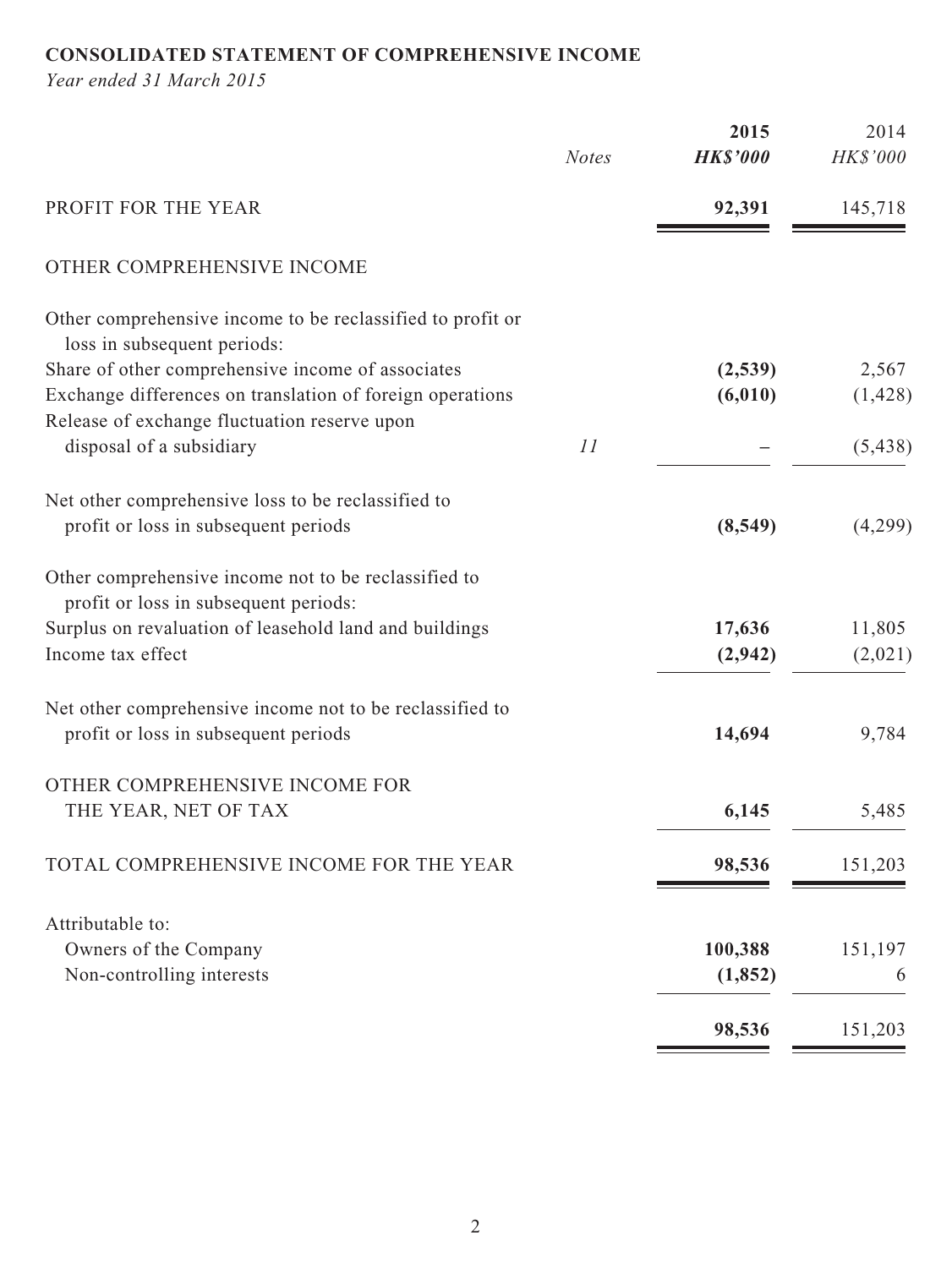# **CONSOLIDATED STATEMENT OF COMPREHENSIVE INCOME**

*Year ended 31 March 2015*

|                                                                                                  |              | 2015            | 2014     |
|--------------------------------------------------------------------------------------------------|--------------|-----------------|----------|
|                                                                                                  | <b>Notes</b> | <b>HK\$'000</b> | HK\$'000 |
| PROFIT FOR THE YEAR                                                                              |              | 92,391          | 145,718  |
| OTHER COMPREHENSIVE INCOME                                                                       |              |                 |          |
| Other comprehensive income to be reclassified to profit or<br>loss in subsequent periods:        |              |                 |          |
| Share of other comprehensive income of associates                                                |              | (2,539)         | 2,567    |
| Exchange differences on translation of foreign operations                                        |              | (6, 010)        | (1, 428) |
| Release of exchange fluctuation reserve upon                                                     |              |                 |          |
| disposal of a subsidiary                                                                         | 11           |                 | (5, 438) |
| Net other comprehensive loss to be reclassified to                                               |              |                 |          |
| profit or loss in subsequent periods                                                             |              | (8, 549)        | (4,299)  |
| Other comprehensive income not to be reclassified to<br>profit or loss in subsequent periods:    |              |                 |          |
| Surplus on revaluation of leasehold land and buildings                                           |              | 17,636          | 11,805   |
| Income tax effect                                                                                |              | (2,942)         | (2,021)  |
| Net other comprehensive income not to be reclassified to<br>profit or loss in subsequent periods |              | 14,694          | 9,784    |
| OTHER COMPREHENSIVE INCOME FOR                                                                   |              |                 |          |
| THE YEAR, NET OF TAX                                                                             |              | 6,145           | 5,485    |
| TOTAL COMPREHENSIVE INCOME FOR THE YEAR                                                          |              | 98,536          | 151,203  |
| Attributable to:                                                                                 |              |                 |          |
| Owners of the Company                                                                            |              | 100,388         | 151,197  |
| Non-controlling interests                                                                        |              | (1, 852)        | 6        |
|                                                                                                  |              | 98,536          | 151,203  |
|                                                                                                  |              |                 |          |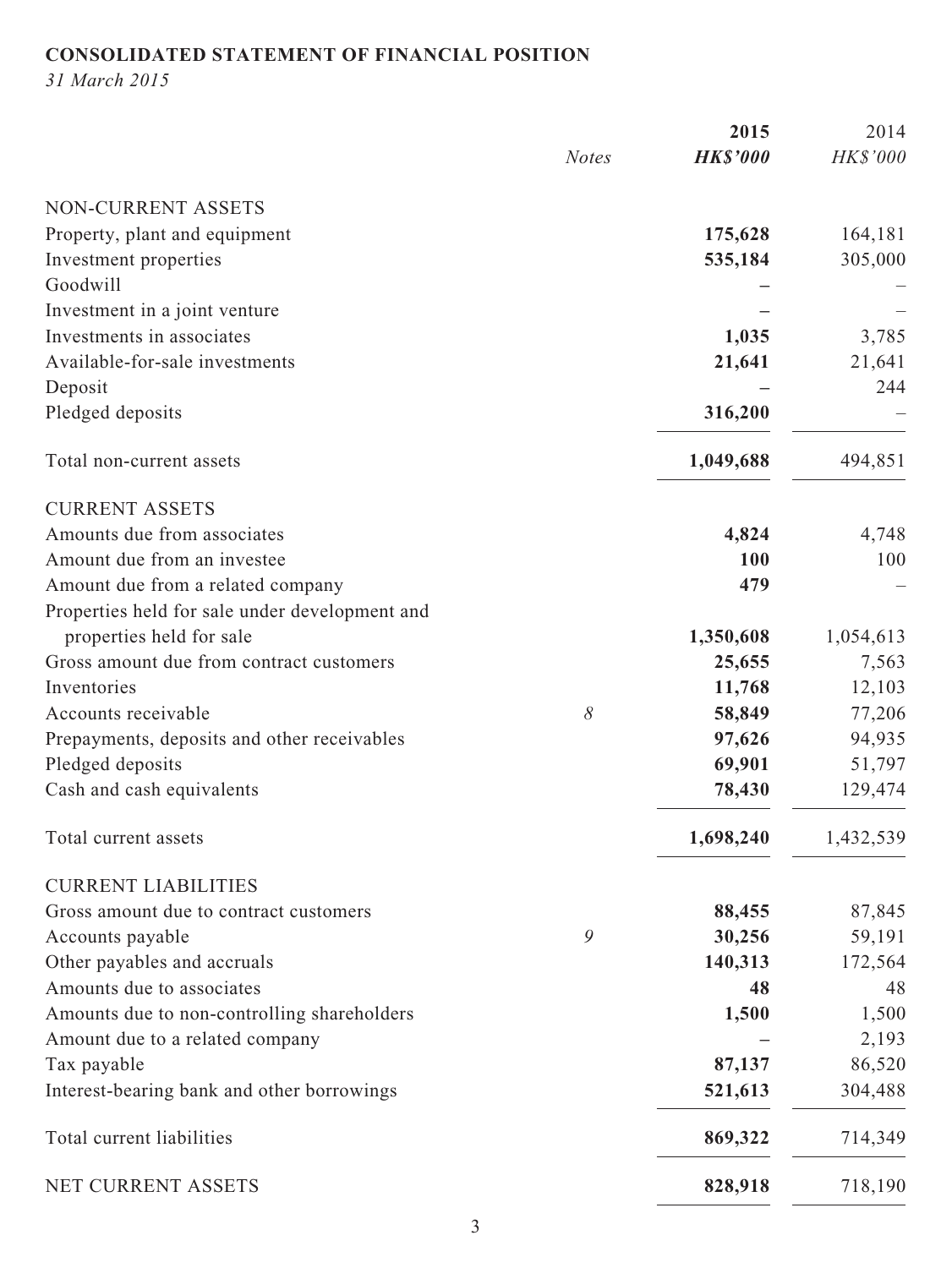# **CONSOLIDATED STATEMENT OF FINANCIAL POSITION**

*31 March 2015*

|                                                |              | 2015            | 2014      |
|------------------------------------------------|--------------|-----------------|-----------|
|                                                | <b>Notes</b> | <b>HK\$'000</b> | HK\$'000  |
| NON-CURRENT ASSETS                             |              |                 |           |
| Property, plant and equipment                  |              | 175,628         | 164,181   |
| Investment properties                          |              | 535,184         | 305,000   |
| Goodwill                                       |              |                 |           |
| Investment in a joint venture                  |              |                 |           |
| Investments in associates                      |              | 1,035           | 3,785     |
| Available-for-sale investments                 |              | 21,641          | 21,641    |
| Deposit                                        |              |                 | 244       |
| Pledged deposits                               |              | 316,200         |           |
| Total non-current assets                       |              | 1,049,688       | 494,851   |
| <b>CURRENT ASSETS</b>                          |              |                 |           |
| Amounts due from associates                    |              | 4,824           | 4,748     |
| Amount due from an investee                    |              | 100             | 100       |
| Amount due from a related company              |              | 479             |           |
| Properties held for sale under development and |              |                 |           |
| properties held for sale                       |              | 1,350,608       | 1,054,613 |
| Gross amount due from contract customers       |              | 25,655          | 7,563     |
| Inventories                                    |              | 11,768          | 12,103    |
| Accounts receivable                            | 8            | 58,849          | 77,206    |
| Prepayments, deposits and other receivables    |              | 97,626          | 94,935    |
| Pledged deposits                               |              | 69,901          | 51,797    |
| Cash and cash equivalents                      |              | 78,430          | 129,474   |
| Total current assets                           |              | 1,698,240       | 1,432,539 |
| <b>CURRENT LIABILITIES</b>                     |              |                 |           |
| Gross amount due to contract customers         |              | 88,455          | 87,845    |
| Accounts payable                               | 9            | 30,256          | 59,191    |
| Other payables and accruals                    |              | 140,313         | 172,564   |
| Amounts due to associates                      |              | 48              | 48        |
| Amounts due to non-controlling shareholders    |              | 1,500           | 1,500     |
| Amount due to a related company                |              |                 | 2,193     |
| Tax payable                                    |              | 87,137          | 86,520    |
| Interest-bearing bank and other borrowings     |              | 521,613         | 304,488   |
| Total current liabilities                      |              | 869,322         | 714,349   |
| NET CURRENT ASSETS                             |              | 828,918         | 718,190   |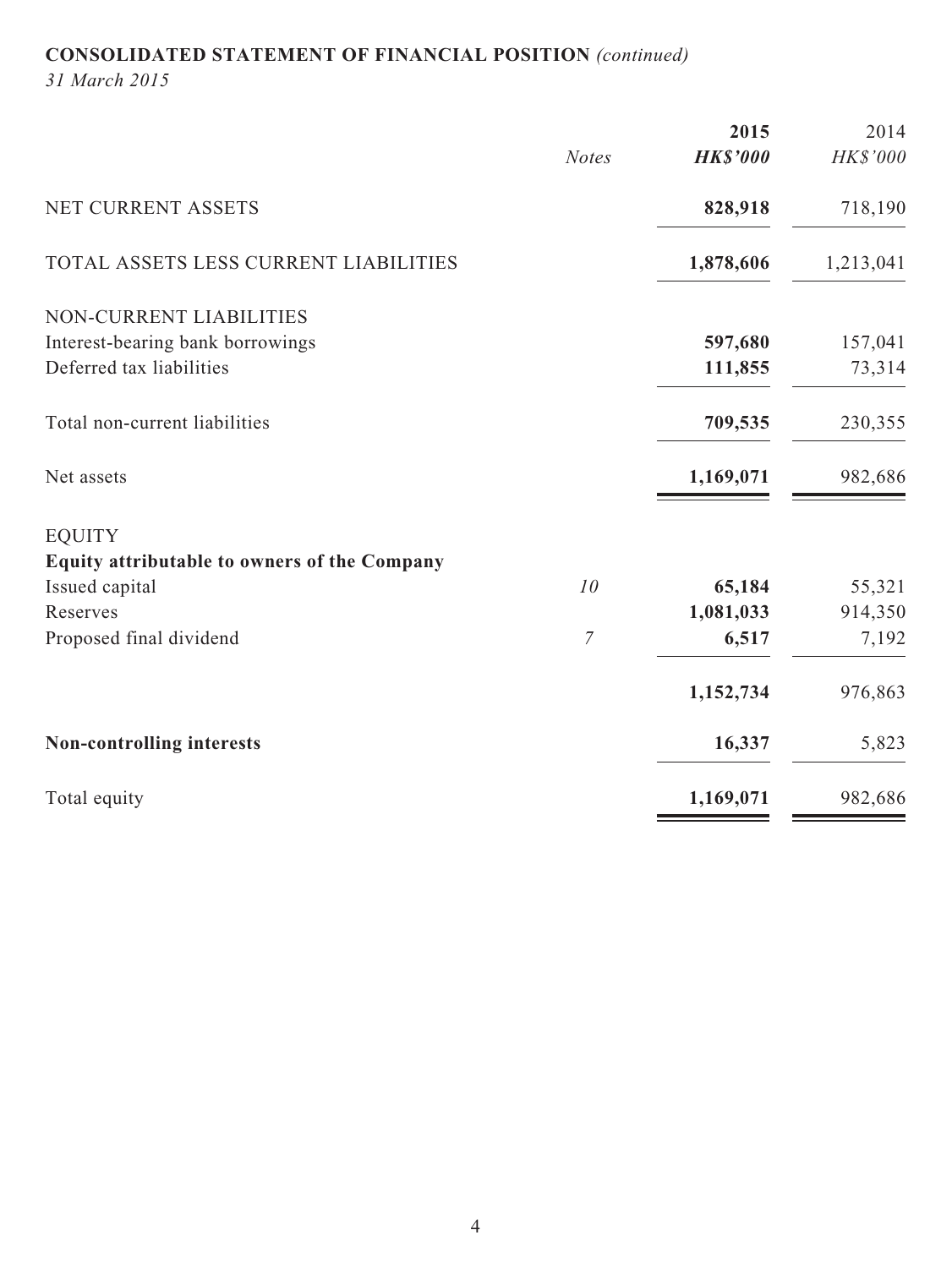# **CONSOLIDATED STATEMENT OF FINANCIAL POSITION** *(continued)*

*31 March 2015*

| <b>HK\$'000</b><br><b>Notes</b><br>NET CURRENT ASSETS<br>828,918<br>TOTAL ASSETS LESS CURRENT LIABILITIES<br>1,878,606 | 2014      |
|------------------------------------------------------------------------------------------------------------------------|-----------|
|                                                                                                                        | HK\$'000  |
|                                                                                                                        | 718,190   |
|                                                                                                                        | 1,213,041 |
| NON-CURRENT LIABILITIES                                                                                                |           |
| Interest-bearing bank borrowings<br>597,680                                                                            | 157,041   |
| Deferred tax liabilities<br>111,855                                                                                    | 73,314    |
| Total non-current liabilities<br>709,535                                                                               | 230,355   |
| 1,169,071<br>Net assets                                                                                                | 982,686   |
| <b>EQUITY</b>                                                                                                          |           |
| Equity attributable to owners of the Company                                                                           |           |
| 10<br>Issued capital<br>65,184                                                                                         | 55,321    |
| 1,081,033<br>Reserves                                                                                                  | 914,350   |
| $\overline{7}$<br>Proposed final dividend<br>6,517                                                                     | 7,192     |
| 1,152,734                                                                                                              | 976,863   |
| 16,337<br>Non-controlling interests                                                                                    | 5,823     |
| Total equity<br>1,169,071                                                                                              | 982,686   |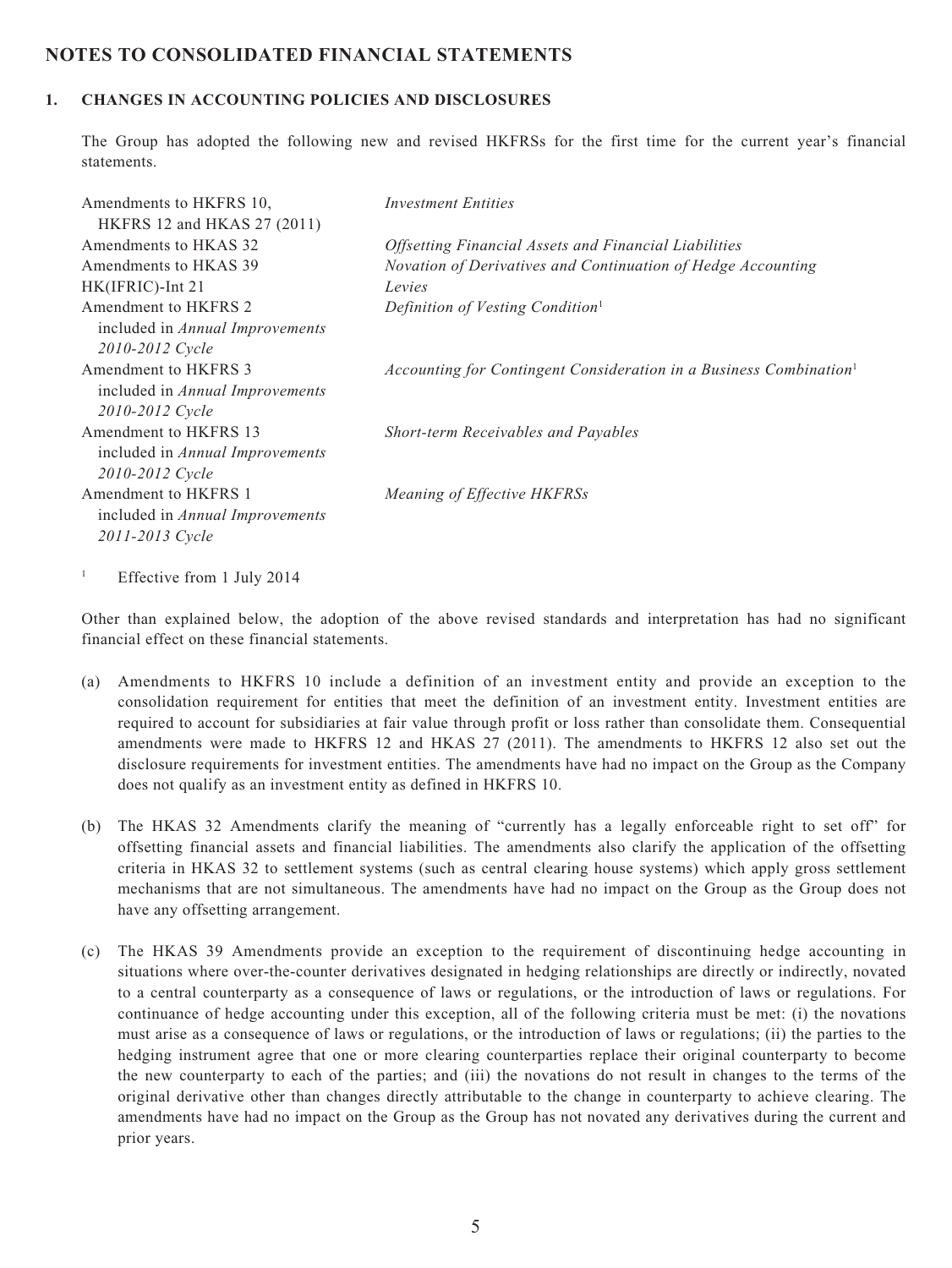### **NOTES TO CONSOLIDATED FINANCIAL STATEMENTS**

#### **1. CHANGES IN ACCOUNTING POLICIES AND DISCLOSURES**

The Group has adopted the following new and revised HKFRSs for the first time for the current year's financial statements.

| Amendments to HKFRS 10,<br>HKFRS 12 and HKAS 27 (2011) | <b>Investment Entities</b>                                                     |
|--------------------------------------------------------|--------------------------------------------------------------------------------|
| Amendments to HKAS 32                                  | <i><b>Offsetting Financial Assets and Financial Liabilities</b></i>            |
| Amendments to HKAS 39                                  | Novation of Derivatives and Continuation of Hedge Accounting                   |
| HK(IFRIC)-Int 21                                       | Levies                                                                         |
| Amendment to HKFRS 2                                   | Definition of Vesting Condition <sup>1</sup>                                   |
| included in <i>Annual Improvements</i>                 |                                                                                |
| 2010-2012 Cycle                                        |                                                                                |
| Amendment to HKFRS 3                                   | Accounting for Contingent Consideration in a Business Combination <sup>1</sup> |
| included in <i>Annual Improvements</i>                 |                                                                                |
| 2010-2012 Cycle                                        |                                                                                |
| Amendment to HKFRS 13                                  | <b>Short-term Receivables and Payables</b>                                     |
| included in <i>Annual Improvements</i>                 |                                                                                |
| 2010-2012 Cycle                                        |                                                                                |
| Amendment to HKFRS 1                                   | Meaning of Effective HKFRSs                                                    |
| included in <i>Annual Improvements</i>                 |                                                                                |
| 2011-2013 Cycle                                        |                                                                                |
|                                                        |                                                                                |

1 Effective from 1 July 2014

Other than explained below, the adoption of the above revised standards and interpretation has had no significant financial effect on these financial statements.

- (a) Amendments to HKFRS 10 include a definition of an investment entity and provide an exception to the consolidation requirement for entities that meet the definition of an investment entity. Investment entities are required to account for subsidiaries at fair value through profit or loss rather than consolidate them. Consequential amendments were made to HKFRS 12 and HKAS 27 (2011). The amendments to HKFRS 12 also set out the disclosure requirements for investment entities. The amendments have had no impact on the Group as the Company does not qualify as an investment entity as defined in HKFRS 10.
- (b) The HKAS 32 Amendments clarify the meaning of "currently has a legally enforceable right to set off" for offsetting financial assets and financial liabilities. The amendments also clarify the application of the offsetting criteria in HKAS 32 to settlement systems (such as central clearing house systems) which apply gross settlement mechanisms that are not simultaneous. The amendments have had no impact on the Group as the Group does not have any offsetting arrangement.
- (c) The HKAS 39 Amendments provide an exception to the requirement of discontinuing hedge accounting in situations where over-the-counter derivatives designated in hedging relationships are directly or indirectly, novated to a central counterparty as a consequence of laws or regulations, or the introduction of laws or regulations. For continuance of hedge accounting under this exception, all of the following criteria must be met: (i) the novations must arise as a consequence of laws or regulations, or the introduction of laws or regulations; (ii) the parties to the hedging instrument agree that one or more clearing counterparties replace their original counterparty to become the new counterparty to each of the parties; and (iii) the novations do not result in changes to the terms of the original derivative other than changes directly attributable to the change in counterparty to achieve clearing. The amendments have had no impact on the Group as the Group has not novated any derivatives during the current and prior years.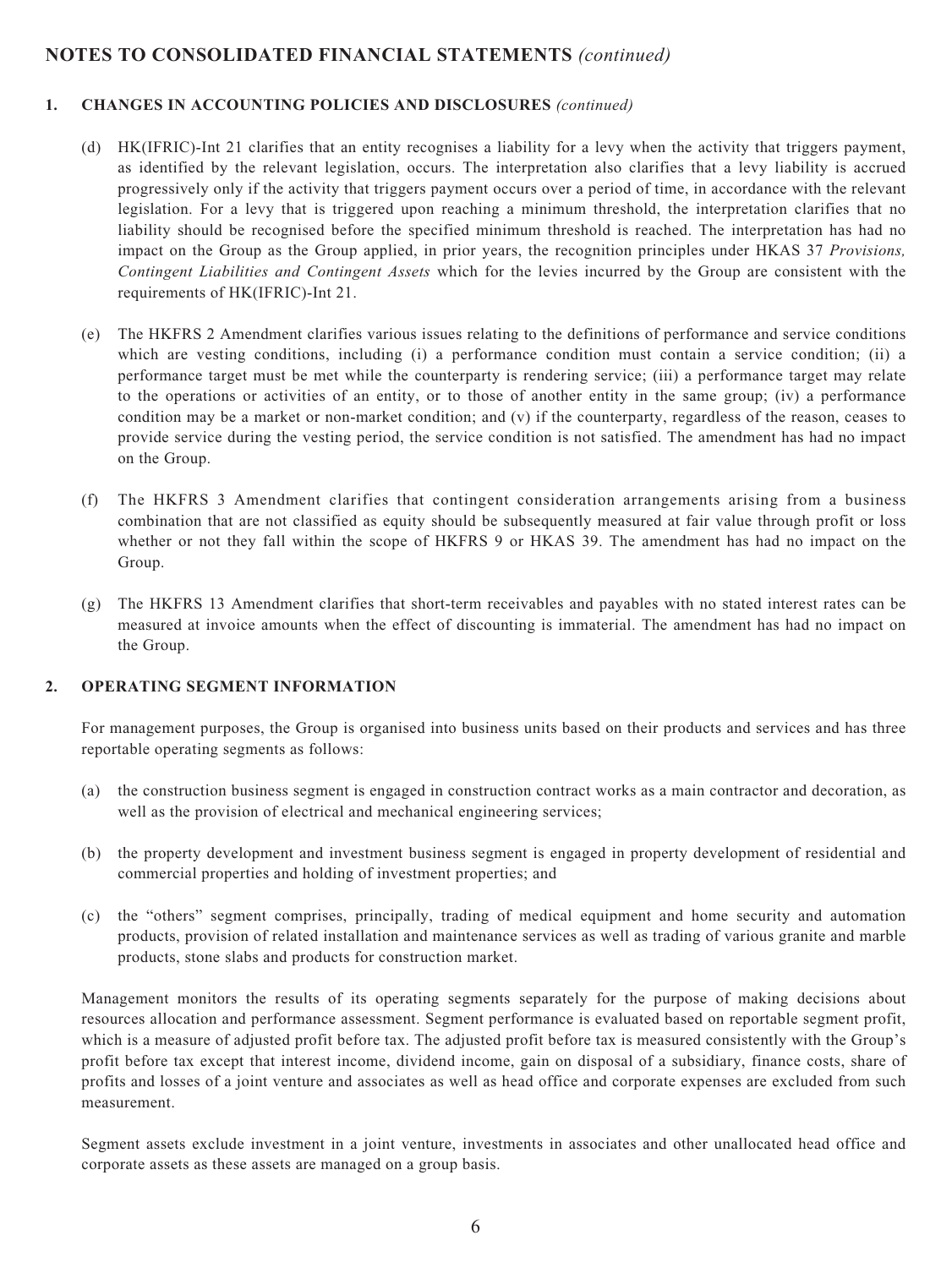#### **1. CHANGES IN ACCOUNTING POLICIES AND DISCLOSURES** *(continued)*

- (d) HK(IFRIC)-Int 21 clarifies that an entity recognises a liability for a levy when the activity that triggers payment, as identified by the relevant legislation, occurs. The interpretation also clarifies that a levy liability is accrued progressively only if the activity that triggers payment occurs over a period of time, in accordance with the relevant legislation. For a levy that is triggered upon reaching a minimum threshold, the interpretation clarifies that no liability should be recognised before the specified minimum threshold is reached. The interpretation has had no impact on the Group as the Group applied, in prior years, the recognition principles under HKAS 37 *Provisions, Contingent Liabilities and Contingent Assets* which for the levies incurred by the Group are consistent with the requirements of HK(IFRIC)-Int 21.
- (e) The HKFRS 2 Amendment clarifies various issues relating to the definitions of performance and service conditions which are vesting conditions, including (i) a performance condition must contain a service condition; (ii) a performance target must be met while the counterparty is rendering service; (iii) a performance target may relate to the operations or activities of an entity, or to those of another entity in the same group; (iv) a performance condition may be a market or non-market condition; and (v) if the counterparty, regardless of the reason, ceases to provide service during the vesting period, the service condition is not satisfied. The amendment has had no impact on the Group.
- (f) The HKFRS 3 Amendment clarifies that contingent consideration arrangements arising from a business combination that are not classified as equity should be subsequently measured at fair value through profit or loss whether or not they fall within the scope of HKFRS 9 or HKAS 39. The amendment has had no impact on the Group.
- (g) The HKFRS 13 Amendment clarifies that short-term receivables and payables with no stated interest rates can be measured at invoice amounts when the effect of discounting is immaterial. The amendment has had no impact on the Group.

#### **2. OPERATING SEGMENT INFORMATION**

For management purposes, the Group is organised into business units based on their products and services and has three reportable operating segments as follows:

- (a) the construction business segment is engaged in construction contract works as a main contractor and decoration, as well as the provision of electrical and mechanical engineering services;
- (b) the property development and investment business segment is engaged in property development of residential and commercial properties and holding of investment properties; and
- (c) the "others" segment comprises, principally, trading of medical equipment and home security and automation products, provision of related installation and maintenance services as well as trading of various granite and marble products, stone slabs and products for construction market.

Management monitors the results of its operating segments separately for the purpose of making decisions about resources allocation and performance assessment. Segment performance is evaluated based on reportable segment profit, which is a measure of adjusted profit before tax. The adjusted profit before tax is measured consistently with the Group's profit before tax except that interest income, dividend income, gain on disposal of a subsidiary, finance costs, share of profits and losses of a joint venture and associates as well as head office and corporate expenses are excluded from such measurement.

Segment assets exclude investment in a joint venture, investments in associates and other unallocated head office and corporate assets as these assets are managed on a group basis.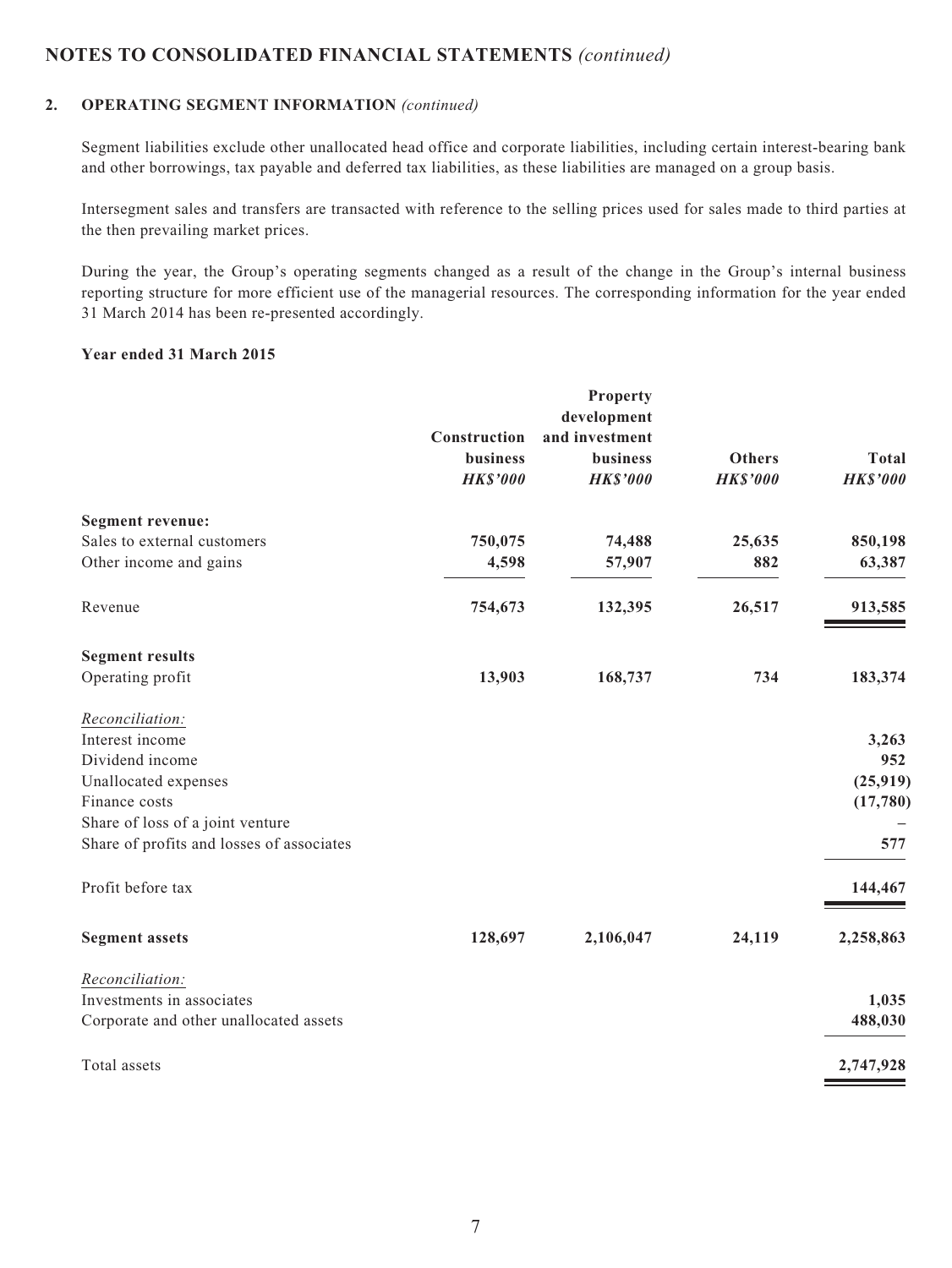#### **2. OPERATING SEGMENT INFORMATION** *(continued)*

Segment liabilities exclude other unallocated head office and corporate liabilities, including certain interest-bearing bank and other borrowings, tax payable and deferred tax liabilities, as these liabilities are managed on a group basis.

Intersegment sales and transfers are transacted with reference to the selling prices used for sales made to third parties at the then prevailing market prices.

During the year, the Group's operating segments changed as a result of the change in the Group's internal business reporting structure for more efficient use of the managerial resources. The corresponding information for the year ended 31 March 2014 has been re-presented accordingly.

#### **Year ended 31 March 2015**

|                                           |                 | Property        |                 |                 |
|-------------------------------------------|-----------------|-----------------|-----------------|-----------------|
|                                           |                 | development     |                 |                 |
|                                           | Construction    | and investment  |                 |                 |
|                                           | <b>business</b> | business        | <b>Others</b>   | <b>Total</b>    |
|                                           | <b>HK\$'000</b> | <b>HK\$'000</b> | <b>HK\$'000</b> | <b>HK\$'000</b> |
| <b>Segment revenue:</b>                   |                 |                 |                 |                 |
| Sales to external customers               | 750,075         | 74,488          | 25,635          | 850,198         |
| Other income and gains                    | 4,598           | 57,907          | 882             | 63,387          |
| Revenue                                   | 754,673         | 132,395         | 26,517          | 913,585         |
| <b>Segment results</b>                    |                 |                 |                 |                 |
| Operating profit                          | 13,903          | 168,737         | 734             | 183,374         |
| Reconciliation:                           |                 |                 |                 |                 |
| Interest income                           |                 |                 |                 | 3,263           |
| Dividend income                           |                 |                 |                 | 952             |
| Unallocated expenses                      |                 |                 |                 | (25, 919)       |
| Finance costs                             |                 |                 |                 | (17,780)        |
| Share of loss of a joint venture          |                 |                 |                 |                 |
| Share of profits and losses of associates |                 |                 |                 | 577             |
| Profit before tax                         |                 |                 |                 | 144,467         |
| <b>Segment assets</b>                     | 128,697         | 2,106,047       | 24,119          | 2,258,863       |
| Reconciliation:                           |                 |                 |                 |                 |
| Investments in associates                 |                 |                 |                 | 1,035           |
| Corporate and other unallocated assets    |                 |                 |                 | 488,030         |
| Total assets                              |                 |                 |                 | 2,747,928       |
|                                           |                 |                 |                 |                 |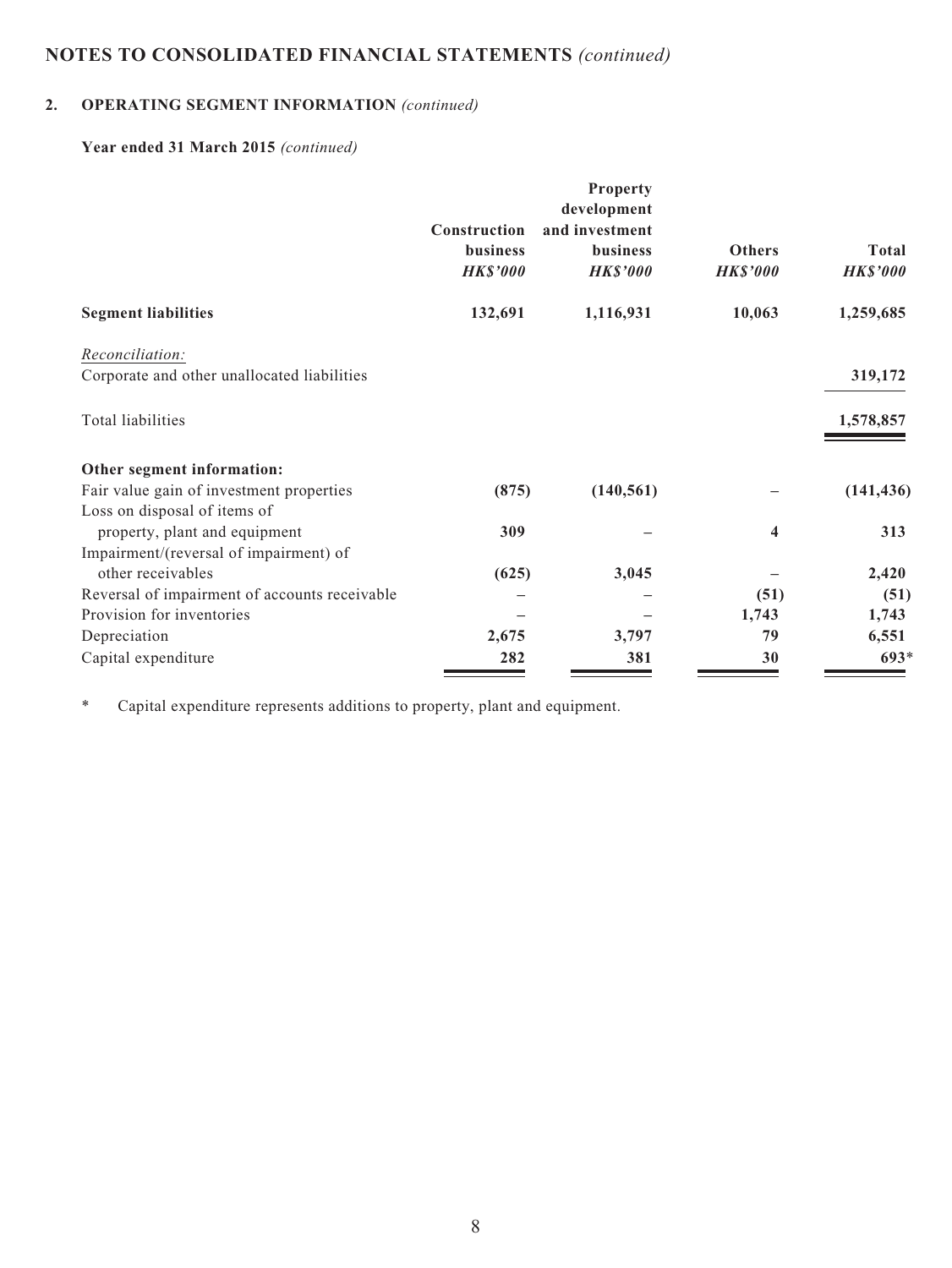### **2. OPERATING SEGMENT INFORMATION** *(continued)*

### **Year ended 31 March 2015** *(continued)*

|                                                                          |                                             | Property<br>development                              |                                  |                          |
|--------------------------------------------------------------------------|---------------------------------------------|------------------------------------------------------|----------------------------------|--------------------------|
|                                                                          | Construction<br>business<br><b>HK\$'000</b> | and investment<br><b>business</b><br><b>HK\$'000</b> | <b>Others</b><br><b>HK\$'000</b> | Total<br><b>HK\$'000</b> |
| <b>Segment liabilities</b>                                               | 132,691                                     | 1,116,931                                            | 10,063                           | 1,259,685                |
| Reconciliation:<br>Corporate and other unallocated liabilities           |                                             |                                                      |                                  | 319,172                  |
| Total liabilities                                                        |                                             |                                                      |                                  | 1,578,857                |
| Other segment information:                                               |                                             |                                                      |                                  |                          |
| Fair value gain of investment properties<br>Loss on disposal of items of | (875)                                       | (140, 561)                                           |                                  | (141, 436)               |
| property, plant and equipment<br>Impairment/(reversal of impairment) of  | 309                                         |                                                      | 4                                | 313                      |
| other receivables                                                        | (625)                                       | 3,045                                                |                                  | 2,420                    |
| Reversal of impairment of accounts receivable                            |                                             |                                                      | (51)                             | (51)                     |
| Provision for inventories                                                |                                             |                                                      | 1,743                            | 1,743                    |
| Depreciation                                                             | 2,675                                       | 3,797                                                | 79                               | 6,551                    |
| Capital expenditure                                                      | 282                                         | 381                                                  | 30                               | $693*$                   |

\* Capital expenditure represents additions to property, plant and equipment.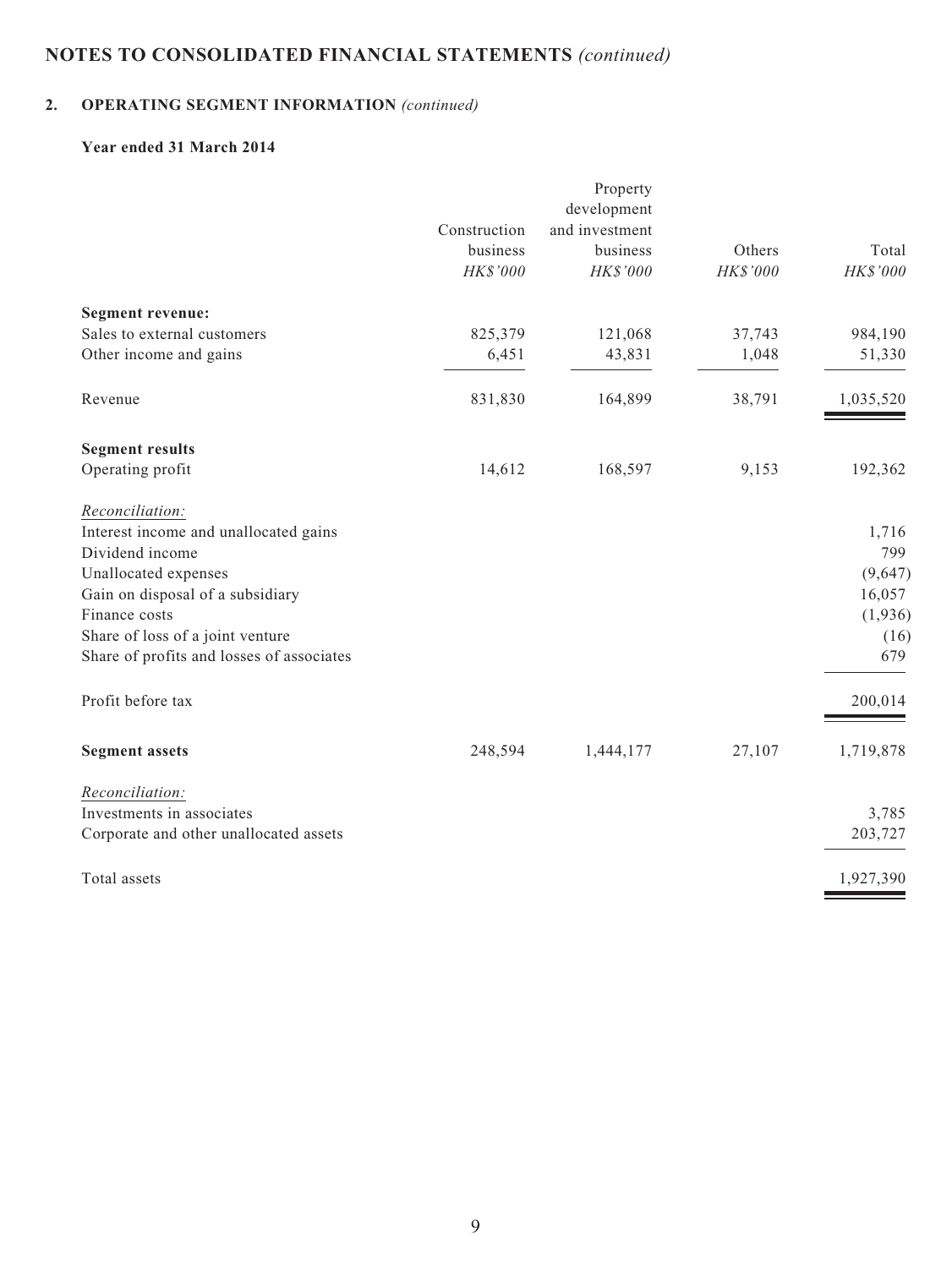### **2. OPERATING SEGMENT INFORMATION** *(continued)*

### **Year ended 31 March 2014**

|                                           |              | Property       |          |           |
|-------------------------------------------|--------------|----------------|----------|-----------|
|                                           |              | development    |          |           |
|                                           | Construction | and investment |          |           |
|                                           | business     | business       | Others   | Total     |
|                                           | HK\$'000     | HK\$'000       | HK\$'000 | HK\$'000  |
| <b>Segment revenue:</b>                   |              |                |          |           |
| Sales to external customers               | 825,379      | 121,068        | 37,743   | 984,190   |
| Other income and gains                    | 6,451        | 43,831         | 1,048    | 51,330    |
| Revenue                                   | 831,830      | 164,899        | 38,791   | 1,035,520 |
| <b>Segment results</b>                    |              |                |          |           |
| Operating profit                          | 14,612       | 168,597        | 9,153    | 192,362   |
| Reconciliation:                           |              |                |          |           |
| Interest income and unallocated gains     |              |                |          | 1,716     |
| Dividend income                           |              |                |          | 799       |
| Unallocated expenses                      |              |                |          | (9,647)   |
| Gain on disposal of a subsidiary          |              |                |          | 16,057    |
| Finance costs                             |              |                |          | (1,936)   |
| Share of loss of a joint venture          |              |                |          | (16)      |
| Share of profits and losses of associates |              |                |          | 679       |
| Profit before tax                         |              |                |          | 200,014   |
| <b>Segment assets</b>                     | 248,594      | 1,444,177      | 27,107   | 1,719,878 |
| Reconciliation:                           |              |                |          |           |
| Investments in associates                 |              |                |          | 3,785     |
| Corporate and other unallocated assets    |              |                |          | 203,727   |
| Total assets                              |              |                |          | 1,927,390 |
|                                           |              |                |          |           |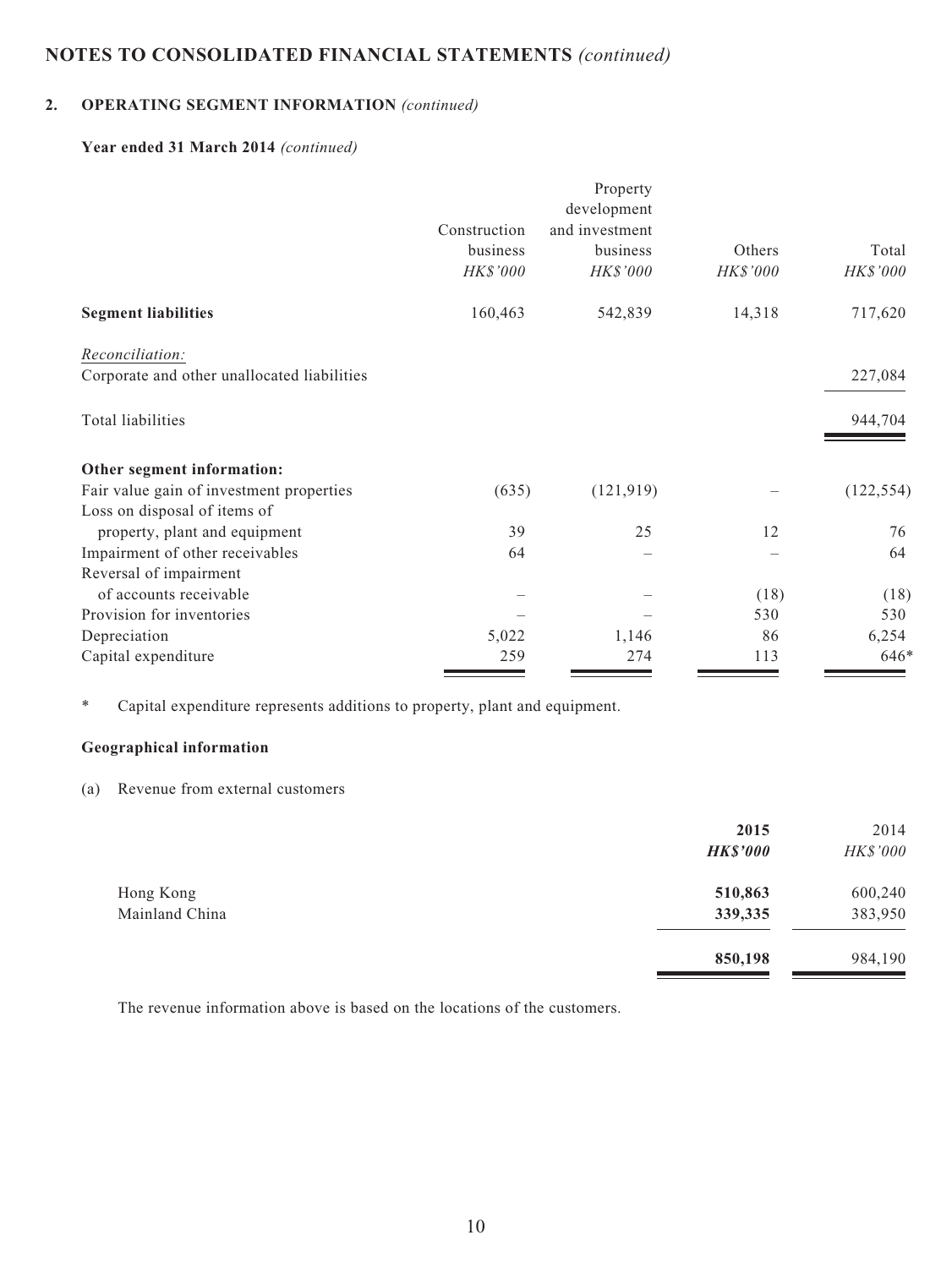### **2. OPERATING SEGMENT INFORMATION** *(continued)*

#### **Year ended 31 March 2014** *(continued)*

|                                             |              | Property       |          |            |
|---------------------------------------------|--------------|----------------|----------|------------|
|                                             |              | development    |          |            |
|                                             | Construction | and investment |          |            |
|                                             | business     | business       | Others   | Total      |
|                                             | HK\$'000     | HK\$'000       | HK\$'000 | HK\$'000   |
| <b>Segment liabilities</b>                  | 160,463      | 542,839        | 14,318   | 717,620    |
| Reconciliation:                             |              |                |          |            |
| Corporate and other unallocated liabilities |              |                |          | 227,084    |
| Total liabilities                           |              |                |          | 944,704    |
| Other segment information:                  |              |                |          |            |
| Fair value gain of investment properties    | (635)        | (121, 919)     |          | (122, 554) |
| Loss on disposal of items of                |              |                |          |            |
| property, plant and equipment               | 39           | 25             | 12       | 76         |
| Impairment of other receivables             | 64           |                |          | 64         |
| Reversal of impairment                      |              |                |          |            |
| of accounts receivable                      |              |                | (18)     | (18)       |
| Provision for inventories                   |              |                | 530      | 530        |
| Depreciation                                | 5,022        | 1,146          | 86       | 6,254      |
| Capital expenditure                         | 259          | 274            | 113      | 646*       |

\* Capital expenditure represents additions to property, plant and equipment.

#### **Geographical information**

(a) Revenue from external customers

|                             | 2015<br><b>HK\$'000</b> | 2014<br>HK\$'000   |
|-----------------------------|-------------------------|--------------------|
| Hong Kong<br>Mainland China | 510,863<br>339,335      | 600,240<br>383,950 |
|                             | 850,198                 | 984,190            |

The revenue information above is based on the locations of the customers.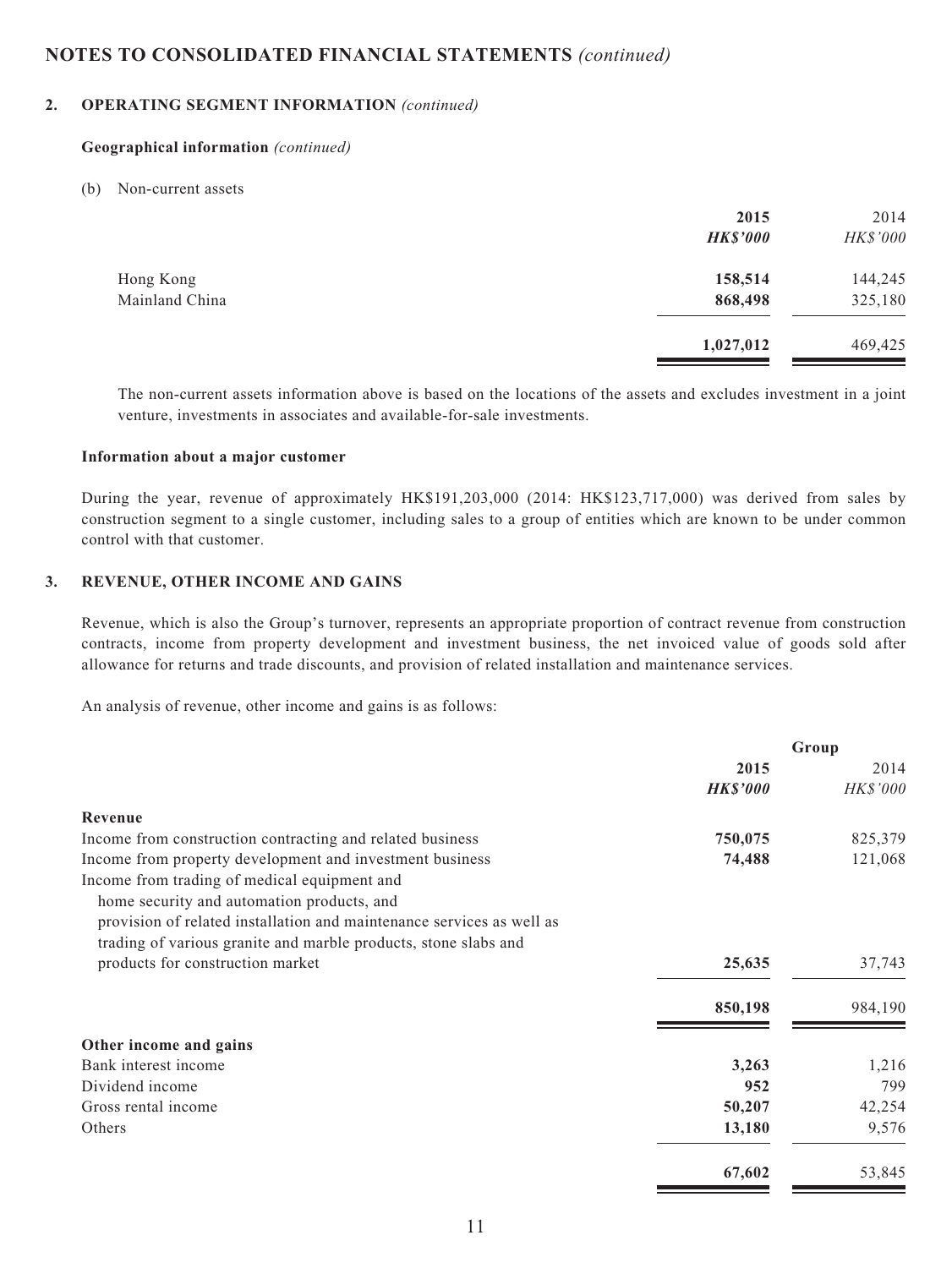#### **2. OPERATING SEGMENT INFORMATION** *(continued)*

#### **Geographical information** *(continued)*

#### (b) Non-current assets

|                | 2015            | 2014            |
|----------------|-----------------|-----------------|
|                | <b>HK\$'000</b> | <b>HK\$'000</b> |
| Hong Kong      | 158,514         | 144,245         |
| Mainland China | 868,498         | 325,180         |
|                | 1,027,012       | 469,425         |

The non-current assets information above is based on the locations of the assets and excludes investment in a joint venture, investments in associates and available-for-sale investments.

#### **Information about a major customer**

During the year, revenue of approximately HK\$191,203,000 (2014: HK\$123,717,000) was derived from sales by construction segment to a single customer, including sales to a group of entities which are known to be under common control with that customer.

#### **3. REVENUE, OTHER INCOME AND GAINS**

Revenue, which is also the Group's turnover, represents an appropriate proportion of contract revenue from construction contracts, income from property development and investment business, the net invoiced value of goods sold after allowance for returns and trade discounts, and provision of related installation and maintenance services.

An analysis of revenue, other income and gains is as follows:

|                                                                       | Group           |          |
|-----------------------------------------------------------------------|-----------------|----------|
|                                                                       | 2015            | 2014     |
|                                                                       | <b>HK\$'000</b> | HK\$'000 |
| Revenue                                                               |                 |          |
| Income from construction contracting and related business             | 750,075         | 825,379  |
| Income from property development and investment business              | 74,488          | 121,068  |
| Income from trading of medical equipment and                          |                 |          |
| home security and automation products, and                            |                 |          |
| provision of related installation and maintenance services as well as |                 |          |
| trading of various granite and marble products, stone slabs and       |                 |          |
| products for construction market                                      | 25,635          | 37,743   |
|                                                                       | 850,198         | 984,190  |
| Other income and gains                                                |                 |          |
| Bank interest income                                                  | 3,263           | 1,216    |
| Dividend income                                                       | 952             | 799      |
| Gross rental income                                                   | 50,207          | 42,254   |
| Others                                                                | 13,180          | 9,576    |
|                                                                       | 67,602          | 53,845   |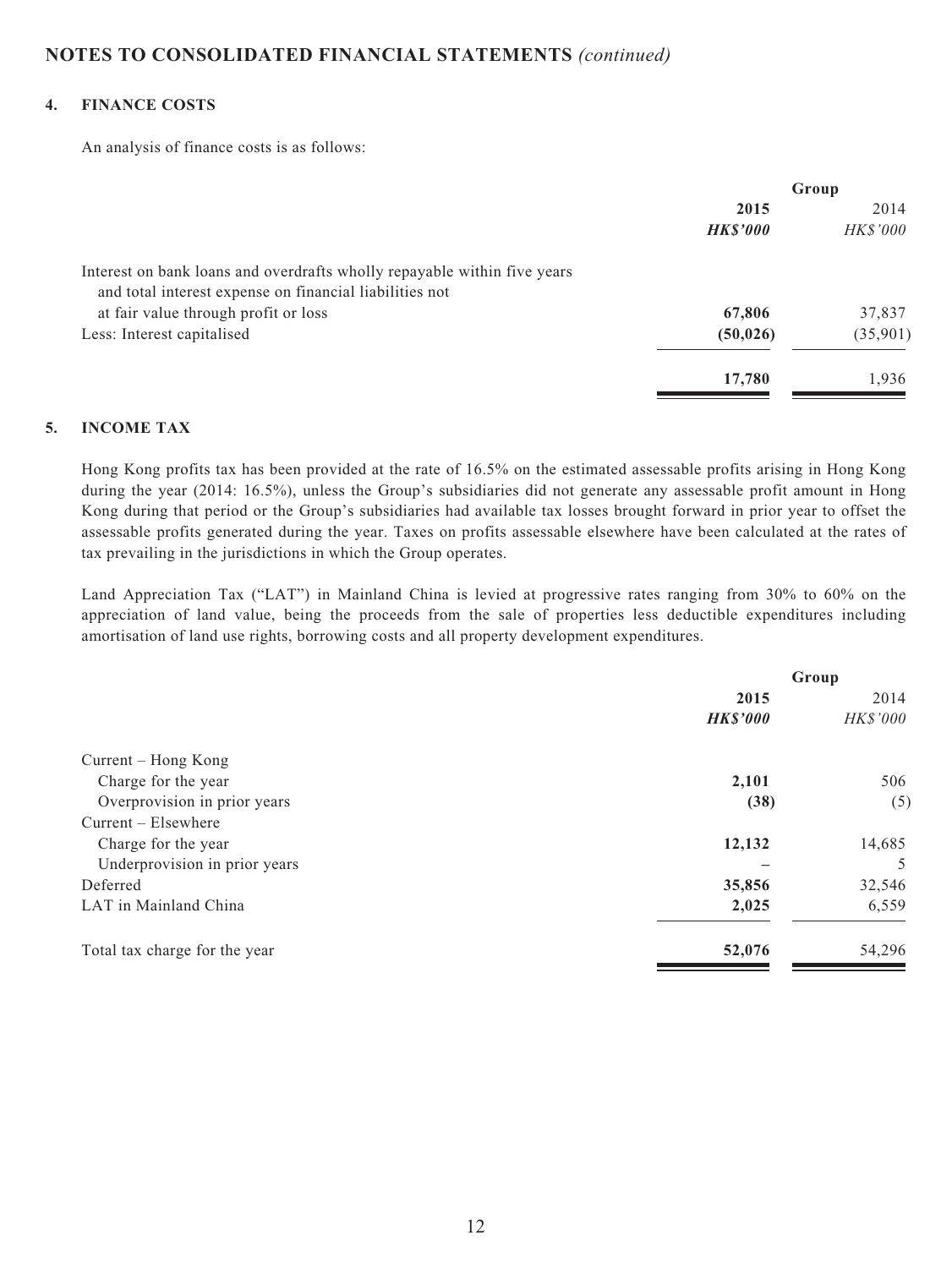#### **4. FINANCE COSTS**

An analysis of finance costs is as follows:

|                                                                          | Group           |          |
|--------------------------------------------------------------------------|-----------------|----------|
|                                                                          | 2015            | 2014     |
|                                                                          | <b>HK\$'000</b> | HK\$'000 |
| Interest on bank loans and overdrafts wholly repayable within five years |                 |          |
| and total interest expense on financial liabilities not                  |                 |          |
| at fair value through profit or loss                                     | 67,806          | 37,837   |
| Less: Interest capitalised                                               | (50, 026)       | (35,901) |
|                                                                          | 17,780          | 1.936    |

#### **5. INCOME TAX**

Hong Kong profits tax has been provided at the rate of 16.5% on the estimated assessable profits arising in Hong Kong during the year (2014: 16.5%), unless the Group's subsidiaries did not generate any assessable profit amount in Hong Kong during that period or the Group's subsidiaries had available tax losses brought forward in prior year to offset the assessable profits generated during the year. Taxes on profits assessable elsewhere have been calculated at the rates of tax prevailing in the jurisdictions in which the Group operates.

Land Appreciation Tax ("LAT") in Mainland China is levied at progressive rates ranging from 30% to 60% on the appreciation of land value, being the proceeds from the sale of properties less deductible expenditures including amortisation of land use rights, borrowing costs and all property development expenditures.

|                               | Group           |          |
|-------------------------------|-----------------|----------|
|                               | 2015            |          |
|                               | <b>HK\$'000</b> | HK\$'000 |
| Current – Hong Kong           |                 |          |
| Charge for the year           | 2,101           | 506      |
| Overprovision in prior years  | (38)            | (5)      |
| $Current - Elsewhere$         |                 |          |
| Charge for the year           | 12,132          | 14,685   |
| Underprovision in prior years |                 | 5        |
| Deferred                      | 35,856          | 32,546   |
| LAT in Mainland China         | 2,025           | 6,559    |
| Total tax charge for the year | 52,076          | 54,296   |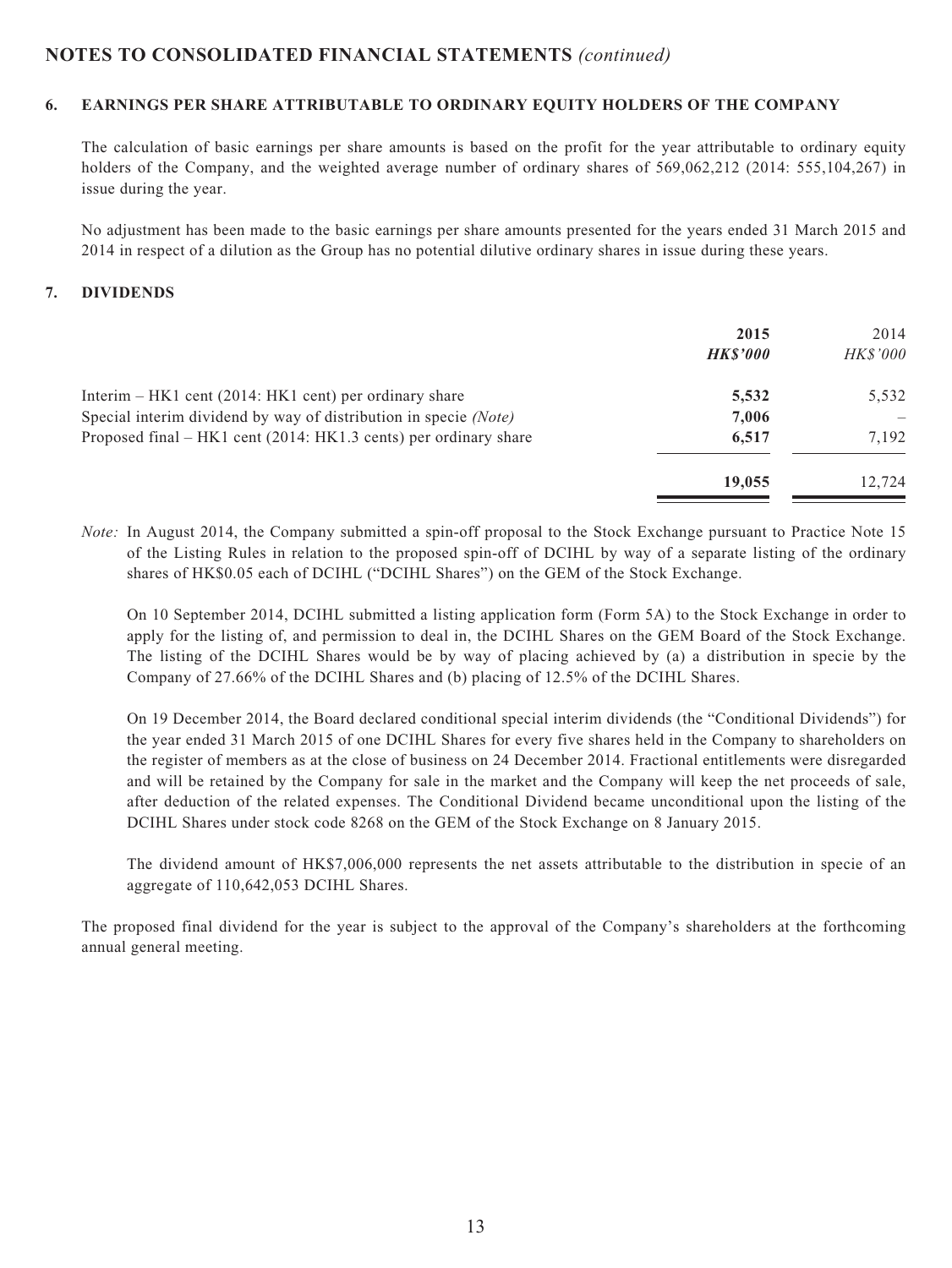#### **6. EARNINGS PER SHARE ATTRIBUTABLE TO ORDINARY EQUITY HOLDERS OF THE COMPANY**

The calculation of basic earnings per share amounts is based on the profit for the year attributable to ordinary equity holders of the Company, and the weighted average number of ordinary shares of 569,062,212 (2014: 555,104,267) in issue during the year.

No adjustment has been made to the basic earnings per share amounts presented for the years ended 31 March 2015 and 2014 in respect of a dilution as the Group has no potential dilutive ordinary shares in issue during these years.

#### **7. DIVIDENDS**

|                                                                  | 2015<br><b>HKS'000</b> | 2014<br><b>HK\$'000</b> |
|------------------------------------------------------------------|------------------------|-------------------------|
| Interim $- HK1$ cent (2014: HK1 cent) per ordinary share         | 5,532                  | 5,532                   |
| Special interim dividend by way of distribution in specie (Note) | 7,006                  |                         |
| Proposed final – HK1 cent (2014: HK1.3 cents) per ordinary share | 6,517                  | 7.192                   |
|                                                                  | 19,055                 | 12.724                  |

*Note:* In August 2014, the Company submitted a spin-off proposal to the Stock Exchange pursuant to Practice Note 15 of the Listing Rules in relation to the proposed spin-off of DCIHL by way of a separate listing of the ordinary shares of HK\$0.05 each of DCIHL ("DCIHL Shares") on the GEM of the Stock Exchange.

On 10 September 2014, DCIHL submitted a listing application form (Form 5A) to the Stock Exchange in order to apply for the listing of, and permission to deal in, the DCIHL Shares on the GEM Board of the Stock Exchange. The listing of the DCIHL Shares would be by way of placing achieved by (a) a distribution in specie by the Company of 27.66% of the DCIHL Shares and (b) placing of 12.5% of the DCIHL Shares.

On 19 December 2014, the Board declared conditional special interim dividends (the "Conditional Dividends") for the year ended 31 March 2015 of one DCIHL Shares for every five shares held in the Company to shareholders on the register of members as at the close of business on 24 December 2014. Fractional entitlements were disregarded and will be retained by the Company for sale in the market and the Company will keep the net proceeds of sale, after deduction of the related expenses. The Conditional Dividend became unconditional upon the listing of the DCIHL Shares under stock code 8268 on the GEM of the Stock Exchange on 8 January 2015.

The dividend amount of HK\$7,006,000 represents the net assets attributable to the distribution in specie of an aggregate of 110,642,053 DCIHL Shares.

The proposed final dividend for the year is subject to the approval of the Company's shareholders at the forthcoming annual general meeting.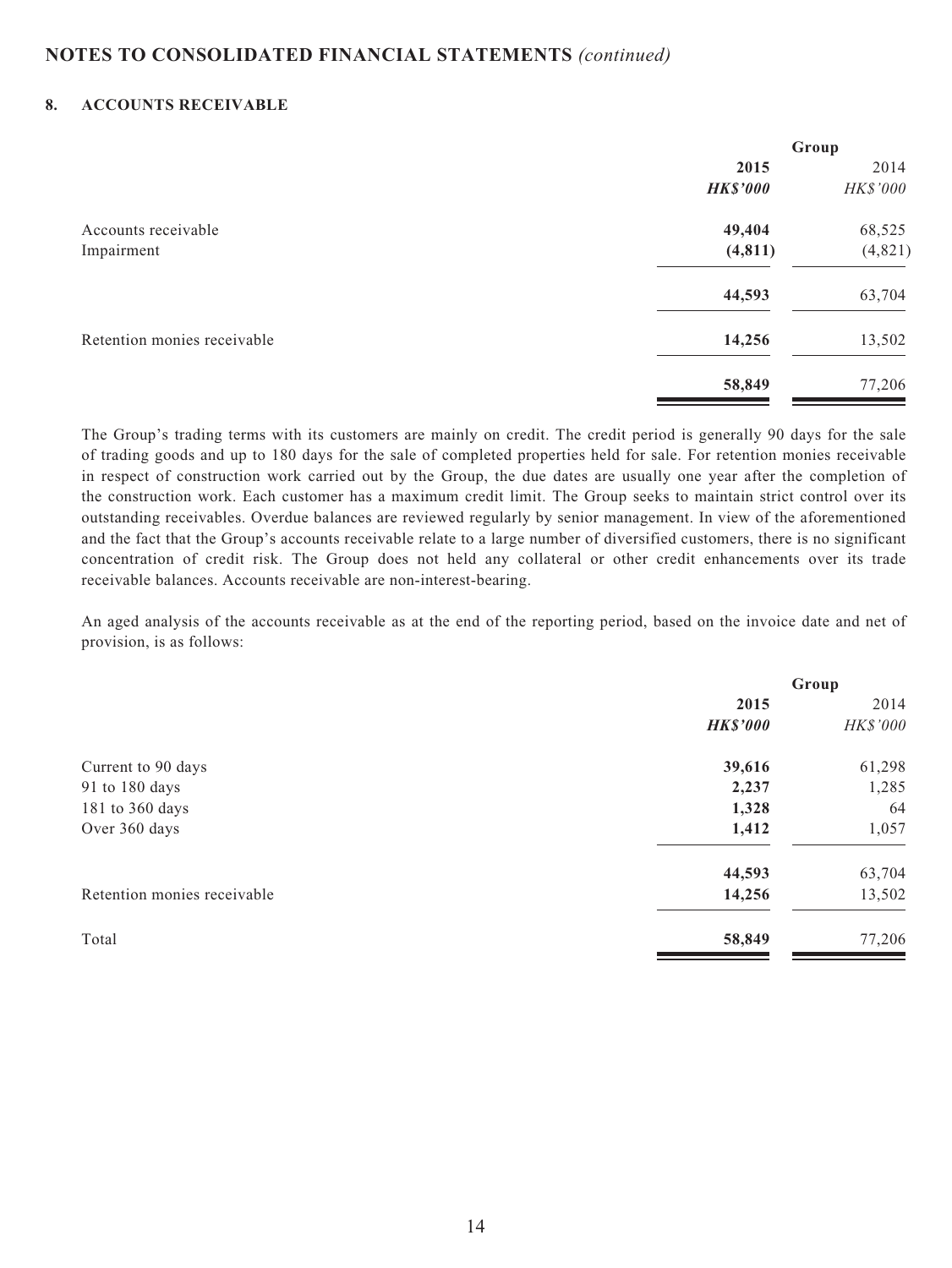#### **8. ACCOUNTS RECEIVABLE**

|                             | Group           |          |  |
|-----------------------------|-----------------|----------|--|
|                             | 2015            | 2014     |  |
|                             | <b>HK\$'000</b> | HK\$'000 |  |
| Accounts receivable         | 49,404          | 68,525   |  |
| Impairment                  | (4, 811)        | (4,821)  |  |
|                             | 44,593          | 63,704   |  |
| Retention monies receivable | 14,256          | 13,502   |  |
|                             | 58,849          | 77,206   |  |

The Group's trading terms with its customers are mainly on credit. The credit period is generally 90 days for the sale of trading goods and up to 180 days for the sale of completed properties held for sale. For retention monies receivable in respect of construction work carried out by the Group, the due dates are usually one year after the completion of the construction work. Each customer has a maximum credit limit. The Group seeks to maintain strict control over its outstanding receivables. Overdue balances are reviewed regularly by senior management. In view of the aforementioned and the fact that the Group's accounts receivable relate to a large number of diversified customers, there is no significant concentration of credit risk. The Group does not held any collateral or other credit enhancements over its trade receivable balances. Accounts receivable are non-interest-bearing.

An aged analysis of the accounts receivable as at the end of the reporting period, based on the invoice date and net of provision, is as follows:

| Group           |          |
|-----------------|----------|
| 2015            | 2014     |
| <b>HK\$'000</b> | HK\$'000 |
| 39,616          | 61,298   |
| 2,237           | 1,285    |
| 1,328           | 64       |
| 1,412           | 1,057    |
| 44,593          | 63,704   |
| 14,256          | 13,502   |
| 58,849          | 77,206   |
|                 |          |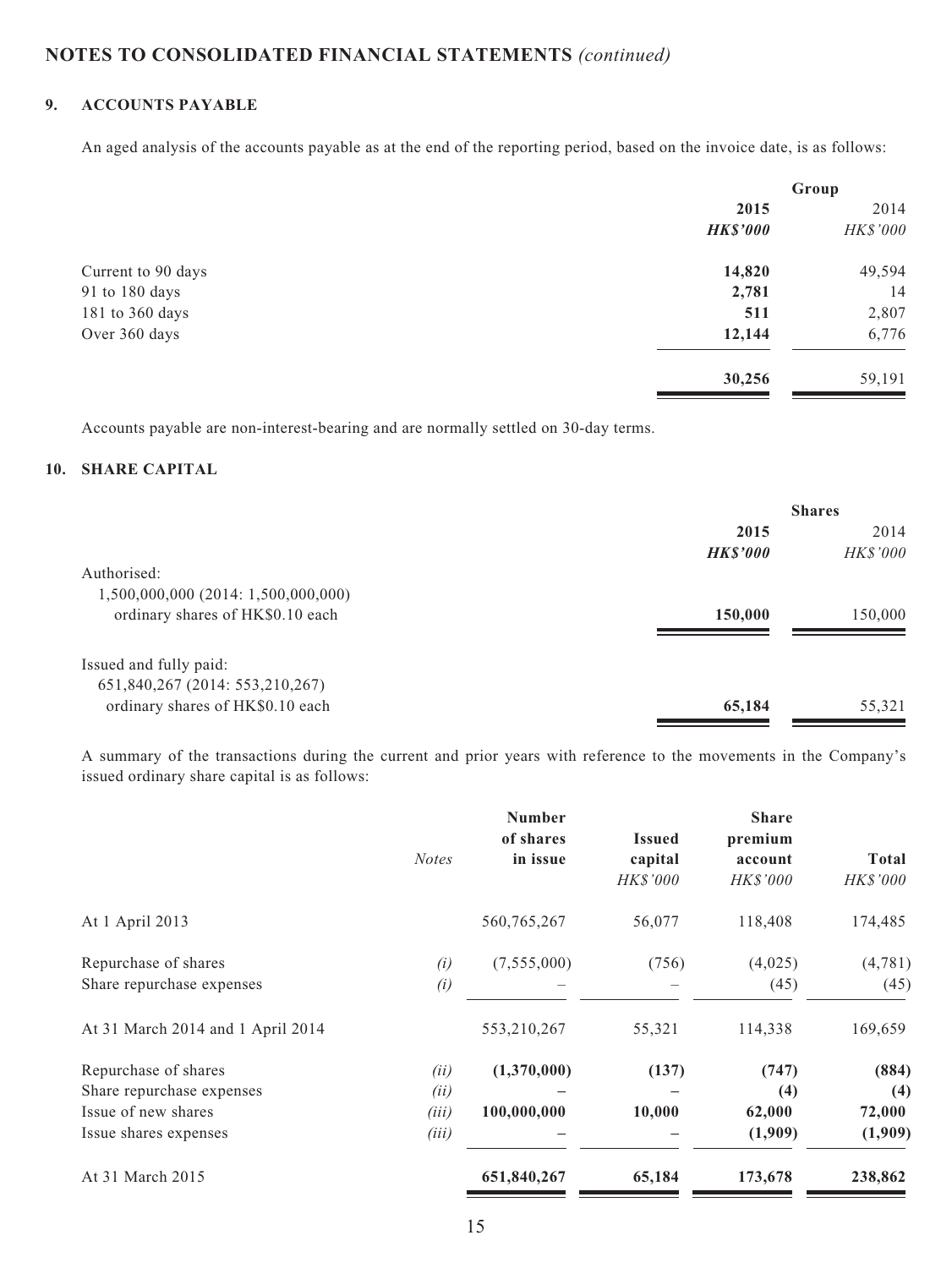### **9. ACCOUNTS PAYABLE**

An aged analysis of the accounts payable as at the end of the reporting period, based on the invoice date, is as follows:

| Group           |          |
|-----------------|----------|
| 2015            |          |
| <b>HK\$'000</b> | HK\$'000 |
| 14,820          | 49,594   |
| 2,781           | 14       |
| 511             | 2,807    |
| 12,144          | 6,776    |
| 30,256          | 59,191   |
|                 |          |

Accounts payable are non-interest-bearing and are normally settled on 30-day terms.

#### **10. SHARE CAPITAL**

|                                     |                | <b>Shares</b>   |  |
|-------------------------------------|----------------|-----------------|--|
|                                     | 2015           | 2014            |  |
|                                     | <b>HKS'000</b> | <b>HK\$'000</b> |  |
| Authorised:                         |                |                 |  |
| 1,500,000,000 (2014: 1,500,000,000) |                |                 |  |
| ordinary shares of HK\$0.10 each    | 150,000        | 150,000         |  |
|                                     |                |                 |  |
| Issued and fully paid:              |                |                 |  |
| 651,840,267 (2014: 553,210,267)     |                |                 |  |
| ordinary shares of HK\$0.10 each    | 65,184         | 55,321          |  |
|                                     |                |                 |  |

A summary of the transactions during the current and prior years with reference to the movements in the Company's issued ordinary share capital is as follows:

|                                   | <b>Notes</b> | <b>Number</b><br>of shares<br>in issue | <b>Issued</b><br>capital<br>HK\$'000 | <b>Share</b><br>premium<br>account<br><b>HK\$'000</b> | <b>Total</b><br>HK\$'000 |
|-----------------------------------|--------------|----------------------------------------|--------------------------------------|-------------------------------------------------------|--------------------------|
| At 1 April 2013                   |              | 560,765,267                            | 56,077                               | 118,408                                               | 174,485                  |
| Repurchase of shares              | (i)          | (7,555,000)                            | (756)                                | (4,025)                                               | (4, 781)                 |
| Share repurchase expenses         | (i)          |                                        |                                      | (45)                                                  | (45)                     |
| At 31 March 2014 and 1 April 2014 |              | 553,210,267                            | 55,321                               | 114,338                                               | 169,659                  |
| Repurchase of shares              | (ii)         | (1,370,000)                            | (137)                                | (747)                                                 | (884)                    |
| Share repurchase expenses         | (ii)         |                                        |                                      | (4)                                                   | (4)                      |
| Issue of new shares               | (iii)        | 100,000,000                            | 10,000                               | 62,000                                                | 72,000                   |
| Issue shares expenses             | (iii)        |                                        |                                      | (1,909)                                               | (1,909)                  |
| At 31 March 2015                  |              | 651,840,267                            | 65,184                               | 173,678                                               | 238,862                  |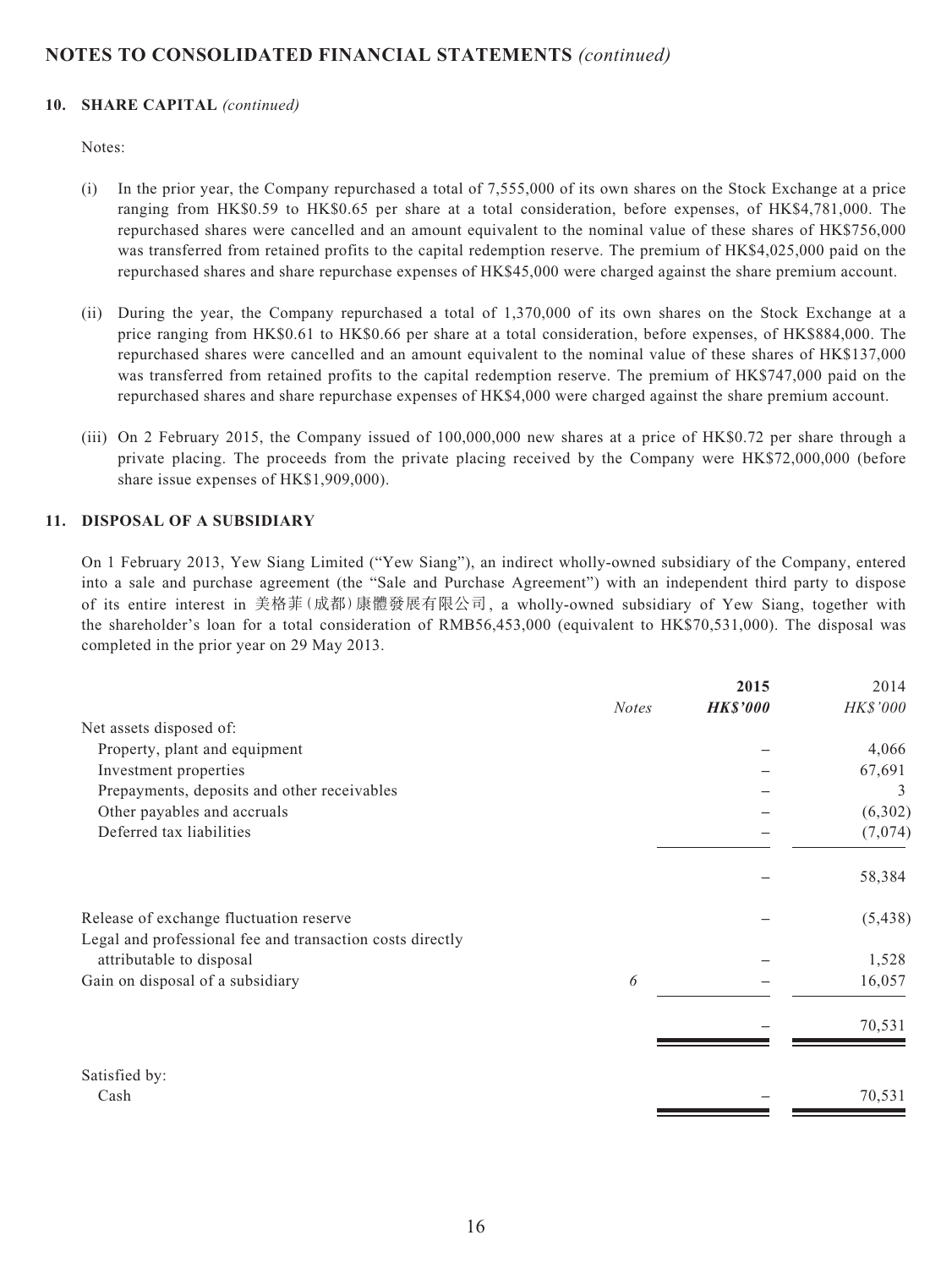#### **10. SHARE CAPITAL** *(continued)*

Notes:

- (i) In the prior year, the Company repurchased a total of 7,555,000 of its own shares on the Stock Exchange at a price ranging from HK\$0.59 to HK\$0.65 per share at a total consideration, before expenses, of HK\$4,781,000. The repurchased shares were cancelled and an amount equivalent to the nominal value of these shares of HK\$756,000 was transferred from retained profits to the capital redemption reserve. The premium of HK\$4,025,000 paid on the repurchased shares and share repurchase expenses of HK\$45,000 were charged against the share premium account.
- (ii) During the year, the Company repurchased a total of 1,370,000 of its own shares on the Stock Exchange at a price ranging from HK\$0.61 to HK\$0.66 per share at a total consideration, before expenses, of HK\$884,000. The repurchased shares were cancelled and an amount equivalent to the nominal value of these shares of HK\$137,000 was transferred from retained profits to the capital redemption reserve. The premium of HK\$747,000 paid on the repurchased shares and share repurchase expenses of HK\$4,000 were charged against the share premium account.
- (iii) On 2 February 2015, the Company issued of 100,000,000 new shares at a price of HK\$0.72 per share through a private placing. The proceeds from the private placing received by the Company were HK\$72,000,000 (before share issue expenses of HK\$1,909,000).

#### **11. DISPOSAL OF A SUBSIDIARY**

On 1 February 2013, Yew Siang Limited ("Yew Siang"), an indirect wholly-owned subsidiary of the Company, entered into a sale and purchase agreement (the "Sale and Purchase Agreement") with an independent third party to dispose of its entire interest in 美格菲(成都)康體發展有限公司, a wholly-owned subsidiary of Yew Siang, together with the shareholder's loan for a total consideration of RMB56,453,000 (equivalent to HK\$70,531,000). The disposal was completed in the prior year on 29 May 2013.

|                                                           |              | 2015            | 2014     |
|-----------------------------------------------------------|--------------|-----------------|----------|
|                                                           | <b>Notes</b> | <b>HK\$'000</b> | HK\$'000 |
| Net assets disposed of:                                   |              |                 |          |
| Property, plant and equipment                             |              |                 | 4,066    |
| Investment properties                                     |              |                 | 67,691   |
| Prepayments, deposits and other receivables               |              |                 | 3        |
| Other payables and accruals                               |              |                 | (6,302)  |
| Deferred tax liabilities                                  |              |                 | (7,074)  |
|                                                           |              |                 | 58,384   |
| Release of exchange fluctuation reserve                   |              |                 | (5, 438) |
| Legal and professional fee and transaction costs directly |              |                 |          |
| attributable to disposal                                  |              |                 | 1,528    |
| Gain on disposal of a subsidiary                          | 6            |                 | 16,057   |
|                                                           |              |                 | 70,531   |
| Satisfied by:                                             |              |                 |          |
| Cash                                                      |              |                 | 70,531   |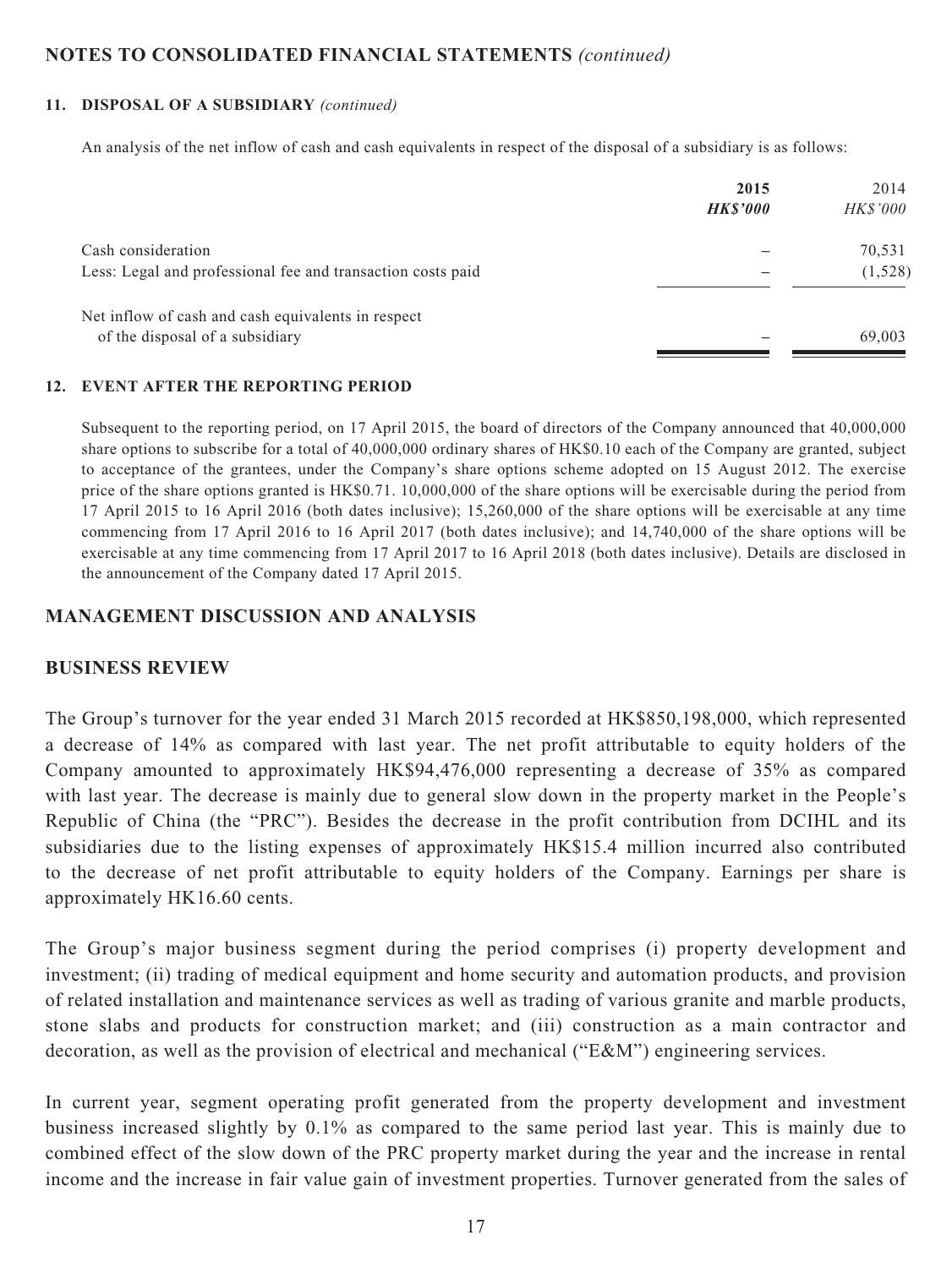#### **11. DISPOSAL OF A SUBSIDIARY** *(continued)*

An analysis of the net inflow of cash and cash equivalents in respect of the disposal of a subsidiary is as follows:

|                                                             | 2015<br><b>HKS'000</b> | 2014<br><b>HK\$'000</b> |
|-------------------------------------------------------------|------------------------|-------------------------|
| Cash consideration                                          |                        | 70,531                  |
| Less: Legal and professional fee and transaction costs paid |                        | (1,528)                 |
| Net inflow of cash and cash equivalents in respect          |                        |                         |
| of the disposal of a subsidiary                             |                        | 69,003                  |

#### **12. EVENT AFTER THE REPORTING PERIOD**

Subsequent to the reporting period, on 17 April 2015, the board of directors of the Company announced that 40,000,000 share options to subscribe for a total of 40,000,000 ordinary shares of HK\$0.10 each of the Company are granted, subject to acceptance of the grantees, under the Company's share options scheme adopted on 15 August 2012. The exercise price of the share options granted is HK\$0.71. 10,000,000 of the share options will be exercisable during the period from 17 April 2015 to 16 April 2016 (both dates inclusive); 15,260,000 of the share options will be exercisable at any time commencing from 17 April 2016 to 16 April 2017 (both dates inclusive); and 14,740,000 of the share options will be exercisable at any time commencing from 17 April 2017 to 16 April 2018 (both dates inclusive). Details are disclosed in the announcement of the Company dated 17 April 2015.

### **MANAGEMENT DISCUSSION AND ANALYSIS**

### **BUSINESS REVIEW**

The Group's turnover for the year ended 31 March 2015 recorded at HK\$850,198,000, which represented a decrease of 14% as compared with last year. The net profit attributable to equity holders of the Company amounted to approximately HK\$94,476,000 representing a decrease of 35% as compared with last year. The decrease is mainly due to general slow down in the property market in the People's Republic of China (the "PRC"). Besides the decrease in the profit contribution from DCIHL and its subsidiaries due to the listing expenses of approximately HK\$15.4 million incurred also contributed to the decrease of net profit attributable to equity holders of the Company. Earnings per share is approximately HK16.60 cents.

The Group's major business segment during the period comprises (i) property development and investment; (ii) trading of medical equipment and home security and automation products, and provision of related installation and maintenance services as well as trading of various granite and marble products, stone slabs and products for construction market; and (iii) construction as a main contractor and decoration, as well as the provision of electrical and mechanical ("E&M") engineering services.

In current year, segment operating profit generated from the property development and investment business increased slightly by 0.1% as compared to the same period last year. This is mainly due to combined effect of the slow down of the PRC property market during the year and the increase in rental income and the increase in fair value gain of investment properties. Turnover generated from the sales of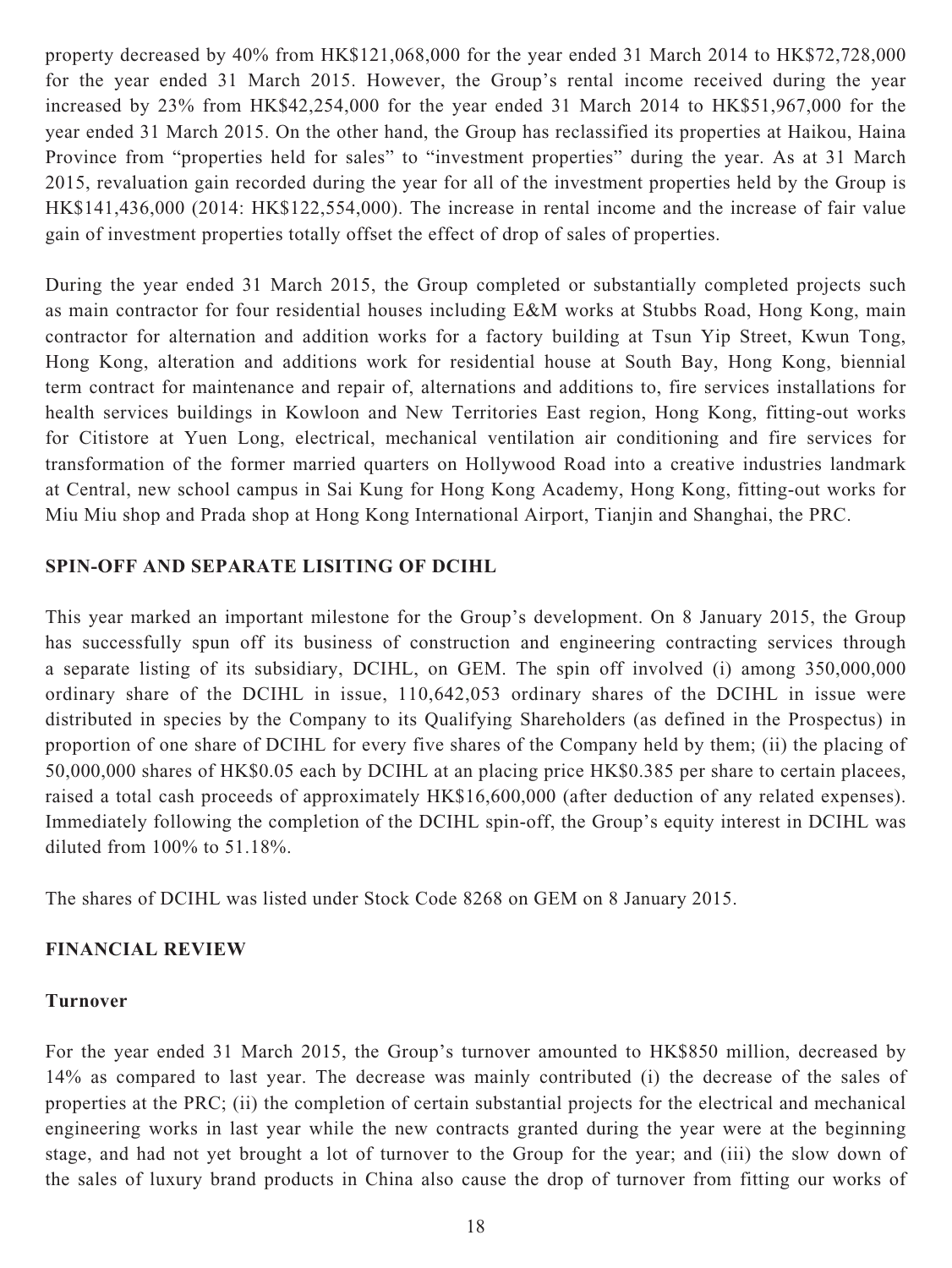property decreased by 40% from HK\$121,068,000 for the year ended 31 March 2014 to HK\$72,728,000 for the year ended 31 March 2015. However, the Group's rental income received during the year increased by 23% from HK\$42,254,000 for the year ended 31 March 2014 to HK\$51,967,000 for the year ended 31 March 2015. On the other hand, the Group has reclassified its properties at Haikou, Haina Province from "properties held for sales" to "investment properties" during the year. As at 31 March 2015, revaluation gain recorded during the year for all of the investment properties held by the Group is HK\$141,436,000 (2014: HK\$122,554,000). The increase in rental income and the increase of fair value gain of investment properties totally offset the effect of drop of sales of properties.

During the year ended 31 March 2015, the Group completed or substantially completed projects such as main contractor for four residential houses including E&M works at Stubbs Road, Hong Kong, main contractor for alternation and addition works for a factory building at Tsun Yip Street, Kwun Tong, Hong Kong, alteration and additions work for residential house at South Bay, Hong Kong, biennial term contract for maintenance and repair of, alternations and additions to, fire services installations for health services buildings in Kowloon and New Territories East region, Hong Kong, fitting-out works for Citistore at Yuen Long, electrical, mechanical ventilation air conditioning and fire services for transformation of the former married quarters on Hollywood Road into a creative industries landmark at Central, new school campus in Sai Kung for Hong Kong Academy, Hong Kong, fitting-out works for Miu Miu shop and Prada shop at Hong Kong International Airport, Tianjin and Shanghai, the PRC.

### **SPIN-OFF AND SEPARATE LISITING OF DCIHL**

This year marked an important milestone for the Group's development. On 8 January 2015, the Group has successfully spun off its business of construction and engineering contracting services through a separate listing of its subsidiary, DCIHL, on GEM. The spin off involved (i) among 350,000,000 ordinary share of the DCIHL in issue, 110,642,053 ordinary shares of the DCIHL in issue were distributed in species by the Company to its Qualifying Shareholders (as defined in the Prospectus) in proportion of one share of DCIHL for every five shares of the Company held by them; (ii) the placing of 50,000,000 shares of HK\$0.05 each by DCIHL at an placing price HK\$0.385 per share to certain placees, raised a total cash proceeds of approximately HK\$16,600,000 (after deduction of any related expenses). Immediately following the completion of the DCIHL spin-off, the Group's equity interest in DCIHL was diluted from 100% to 51.18%.

The shares of DCIHL was listed under Stock Code 8268 on GEM on 8 January 2015.

### **FINANCIAL REVIEW**

### **Turnover**

For the year ended 31 March 2015, the Group's turnover amounted to HK\$850 million, decreased by 14% as compared to last year. The decrease was mainly contributed (i) the decrease of the sales of properties at the PRC; (ii) the completion of certain substantial projects for the electrical and mechanical engineering works in last year while the new contracts granted during the year were at the beginning stage, and had not yet brought a lot of turnover to the Group for the year; and (iii) the slow down of the sales of luxury brand products in China also cause the drop of turnover from fitting our works of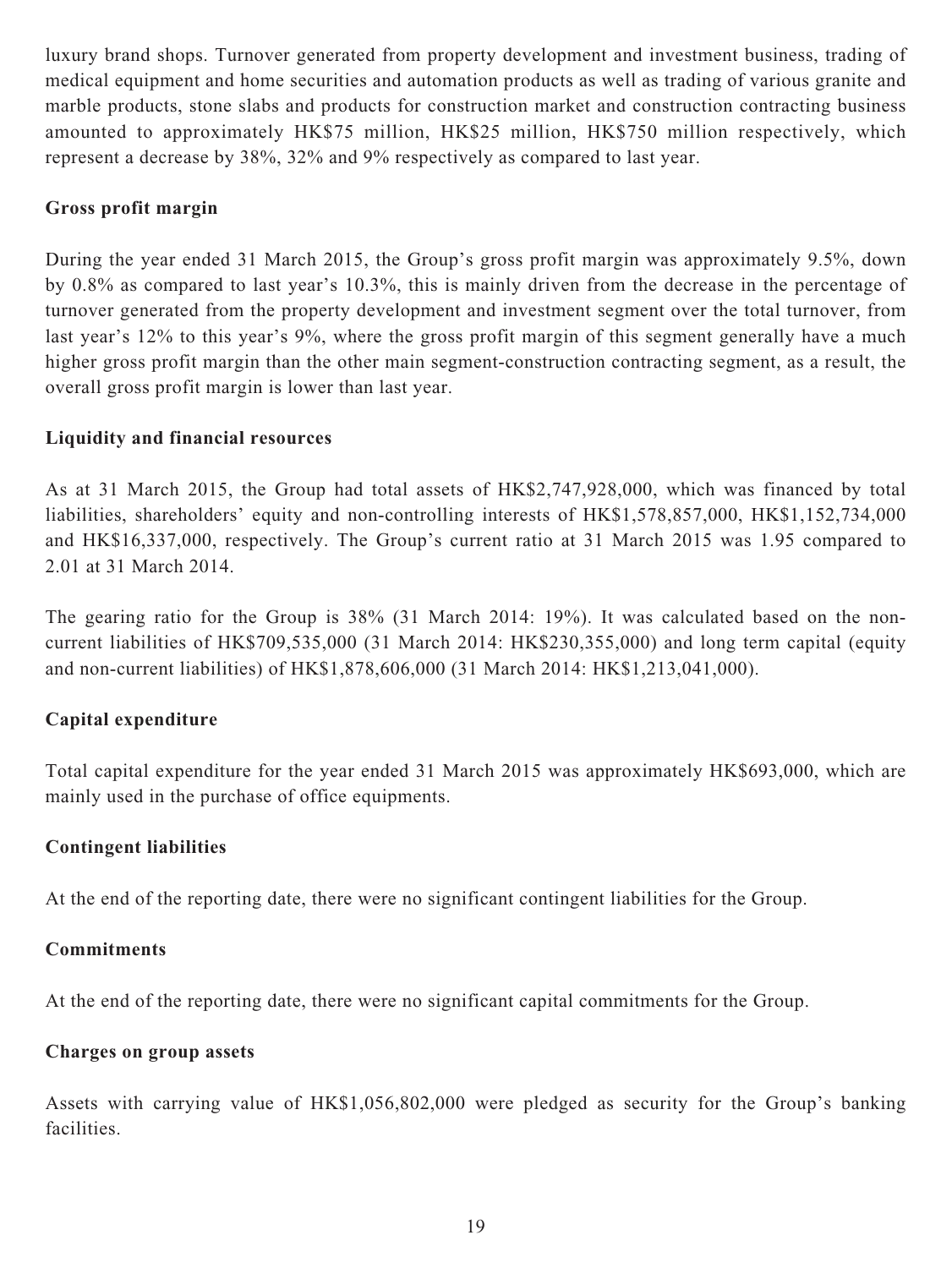luxury brand shops. Turnover generated from property development and investment business, trading of medical equipment and home securities and automation products as well as trading of various granite and marble products, stone slabs and products for construction market and construction contracting business amounted to approximately HK\$75 million, HK\$25 million, HK\$750 million respectively, which represent a decrease by 38%, 32% and 9% respectively as compared to last year.

### **Gross profit margin**

During the year ended 31 March 2015, the Group's gross profit margin was approximately 9.5%, down by 0.8% as compared to last year's 10.3%, this is mainly driven from the decrease in the percentage of turnover generated from the property development and investment segment over the total turnover, from last year's 12% to this year's 9%, where the gross profit margin of this segment generally have a much higher gross profit margin than the other main segment-construction contracting segment, as a result, the overall gross profit margin is lower than last year.

### **Liquidity and financial resources**

As at 31 March 2015, the Group had total assets of HK\$2,747,928,000, which was financed by total liabilities, shareholders' equity and non-controlling interests of HK\$1,578,857,000, HK\$1,152,734,000 and HK\$16,337,000, respectively. The Group's current ratio at 31 March 2015 was 1.95 compared to 2.01 at 31 March 2014.

The gearing ratio for the Group is 38% (31 March 2014: 19%). It was calculated based on the noncurrent liabilities of HK\$709,535,000 (31 March 2014: HK\$230,355,000) and long term capital (equity and non-current liabilities) of HK\$1,878,606,000 (31 March 2014: HK\$1,213,041,000).

# **Capital expenditure**

Total capital expenditure for the year ended 31 March 2015 was approximately HK\$693,000, which are mainly used in the purchase of office equipments.

### **Contingent liabilities**

At the end of the reporting date, there were no significant contingent liabilities for the Group.

### **Commitments**

At the end of the reporting date, there were no significant capital commitments for the Group.

### **Charges on group assets**

Assets with carrying value of HK\$1,056,802,000 were pledged as security for the Group's banking facilities.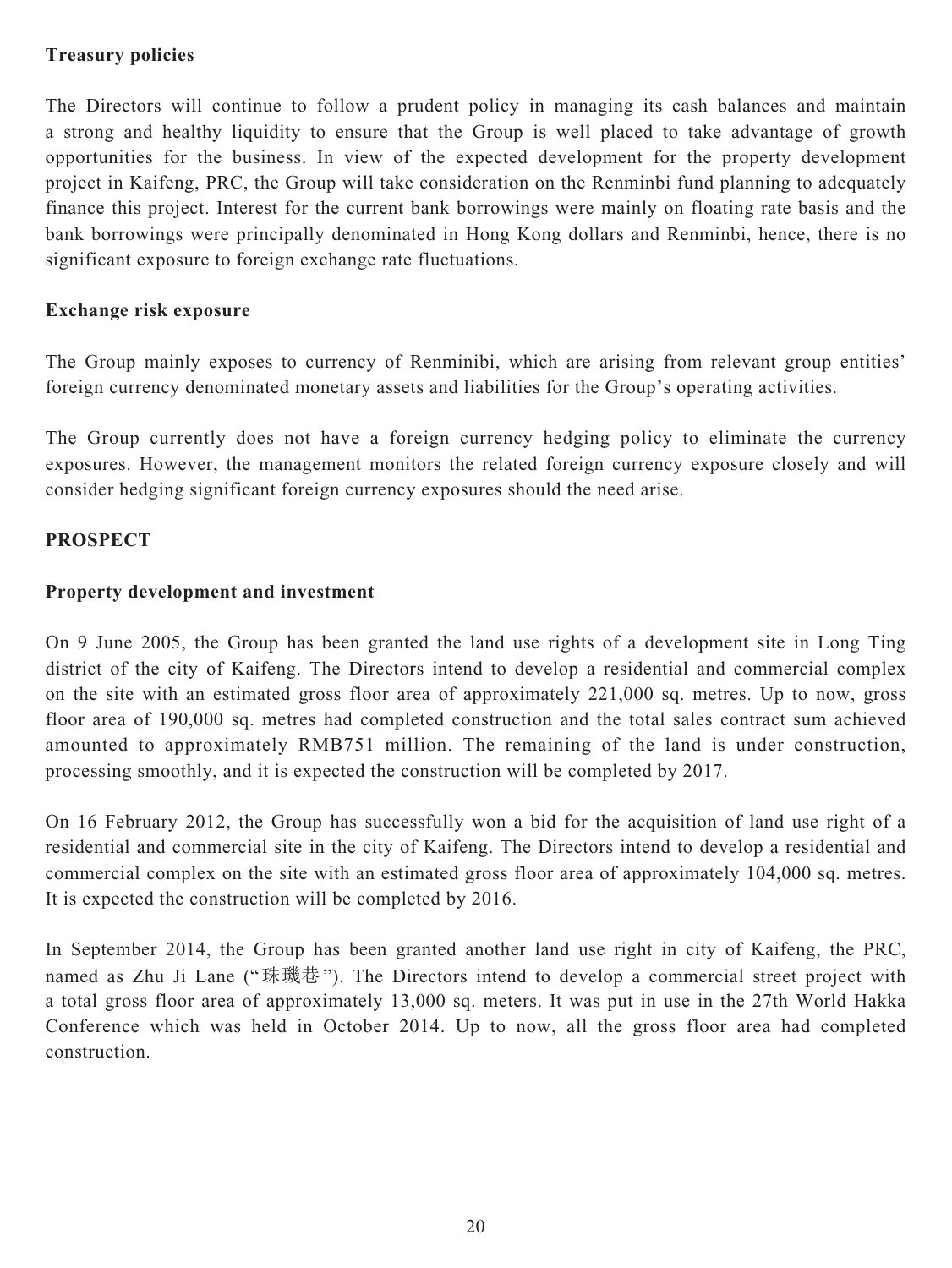### **Treasury policies**

The Directors will continue to follow a prudent policy in managing its cash balances and maintain a strong and healthy liquidity to ensure that the Group is well placed to take advantage of growth opportunities for the business. In view of the expected development for the property development project in Kaifeng, PRC, the Group will take consideration on the Renminbi fund planning to adequately finance this project. Interest for the current bank borrowings were mainly on floating rate basis and the bank borrowings were principally denominated in Hong Kong dollars and Renminbi, hence, there is no significant exposure to foreign exchange rate fluctuations.

### **Exchange risk exposure**

The Group mainly exposes to currency of Renminibi, which are arising from relevant group entities' foreign currency denominated monetary assets and liabilities for the Group's operating activities.

The Group currently does not have a foreign currency hedging policy to eliminate the currency exposures. However, the management monitors the related foreign currency exposure closely and will consider hedging significant foreign currency exposures should the need arise.

### **PROSPECT**

### **Property development and investment**

On 9 June 2005, the Group has been granted the land use rights of a development site in Long Ting district of the city of Kaifeng. The Directors intend to develop a residential and commercial complex on the site with an estimated gross floor area of approximately 221,000 sq. metres. Up to now, gross floor area of 190,000 sq. metres had completed construction and the total sales contract sum achieved amounted to approximately RMB751 million. The remaining of the land is under construction, processing smoothly, and it is expected the construction will be completed by 2017.

On 16 February 2012, the Group has successfully won a bid for the acquisition of land use right of a residential and commercial site in the city of Kaifeng. The Directors intend to develop a residential and commercial complex on the site with an estimated gross floor area of approximately 104,000 sq. metres. It is expected the construction will be completed by 2016.

In September 2014, the Group has been granted another land use right in city of Kaifeng, the PRC, named as Zhu Ji Lane ("珠璣巷"). The Directors intend to develop a commercial street project with a total gross floor area of approximately 13,000 sq. meters. It was put in use in the 27th World Hakka Conference which was held in October 2014. Up to now, all the gross floor area had completed construction.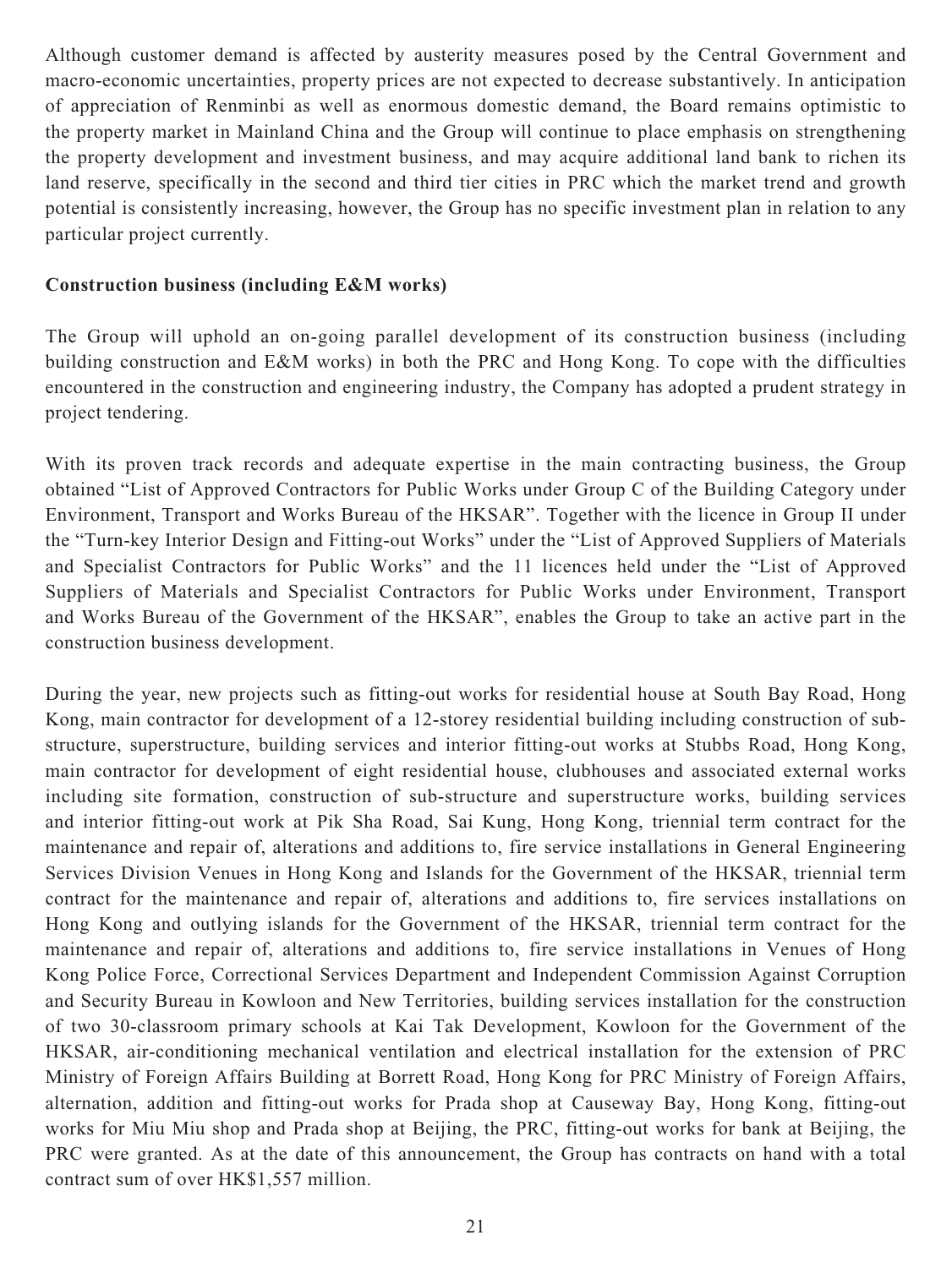Although customer demand is affected by austerity measures posed by the Central Government and macro-economic uncertainties, property prices are not expected to decrease substantively. In anticipation of appreciation of Renminbi as well as enormous domestic demand, the Board remains optimistic to the property market in Mainland China and the Group will continue to place emphasis on strengthening the property development and investment business, and may acquire additional land bank to richen its land reserve, specifically in the second and third tier cities in PRC which the market trend and growth potential is consistently increasing, however, the Group has no specific investment plan in relation to any particular project currently.

### **Construction business (including E&M works)**

The Group will uphold an on-going parallel development of its construction business (including building construction and E&M works) in both the PRC and Hong Kong. To cope with the difficulties encountered in the construction and engineering industry, the Company has adopted a prudent strategy in project tendering.

With its proven track records and adequate expertise in the main contracting business, the Group obtained "List of Approved Contractors for Public Works under Group C of the Building Category under Environment, Transport and Works Bureau of the HKSAR". Together with the licence in Group II under the "Turn-key Interior Design and Fitting-out Works" under the "List of Approved Suppliers of Materials and Specialist Contractors for Public Works" and the 11 licences held under the "List of Approved Suppliers of Materials and Specialist Contractors for Public Works under Environment, Transport and Works Bureau of the Government of the HKSAR", enables the Group to take an active part in the construction business development.

During the year, new projects such as fitting-out works for residential house at South Bay Road, Hong Kong, main contractor for development of a 12-storey residential building including construction of substructure, superstructure, building services and interior fitting-out works at Stubbs Road, Hong Kong, main contractor for development of eight residential house, clubhouses and associated external works including site formation, construction of sub-structure and superstructure works, building services and interior fitting-out work at Pik Sha Road, Sai Kung, Hong Kong, triennial term contract for the maintenance and repair of, alterations and additions to, fire service installations in General Engineering Services Division Venues in Hong Kong and Islands for the Government of the HKSAR, triennial term contract for the maintenance and repair of, alterations and additions to, fire services installations on Hong Kong and outlying islands for the Government of the HKSAR, triennial term contract for the maintenance and repair of, alterations and additions to, fire service installations in Venues of Hong Kong Police Force, Correctional Services Department and Independent Commission Against Corruption and Security Bureau in Kowloon and New Territories, building services installation for the construction of two 30-classroom primary schools at Kai Tak Development, Kowloon for the Government of the HKSAR, air-conditioning mechanical ventilation and electrical installation for the extension of PRC Ministry of Foreign Affairs Building at Borrett Road, Hong Kong for PRC Ministry of Foreign Affairs, alternation, addition and fitting-out works for Prada shop at Causeway Bay, Hong Kong, fitting-out works for Miu Miu shop and Prada shop at Beijing, the PRC, fitting-out works for bank at Beijing, the PRC were granted. As at the date of this announcement, the Group has contracts on hand with a total contract sum of over HK\$1,557 million.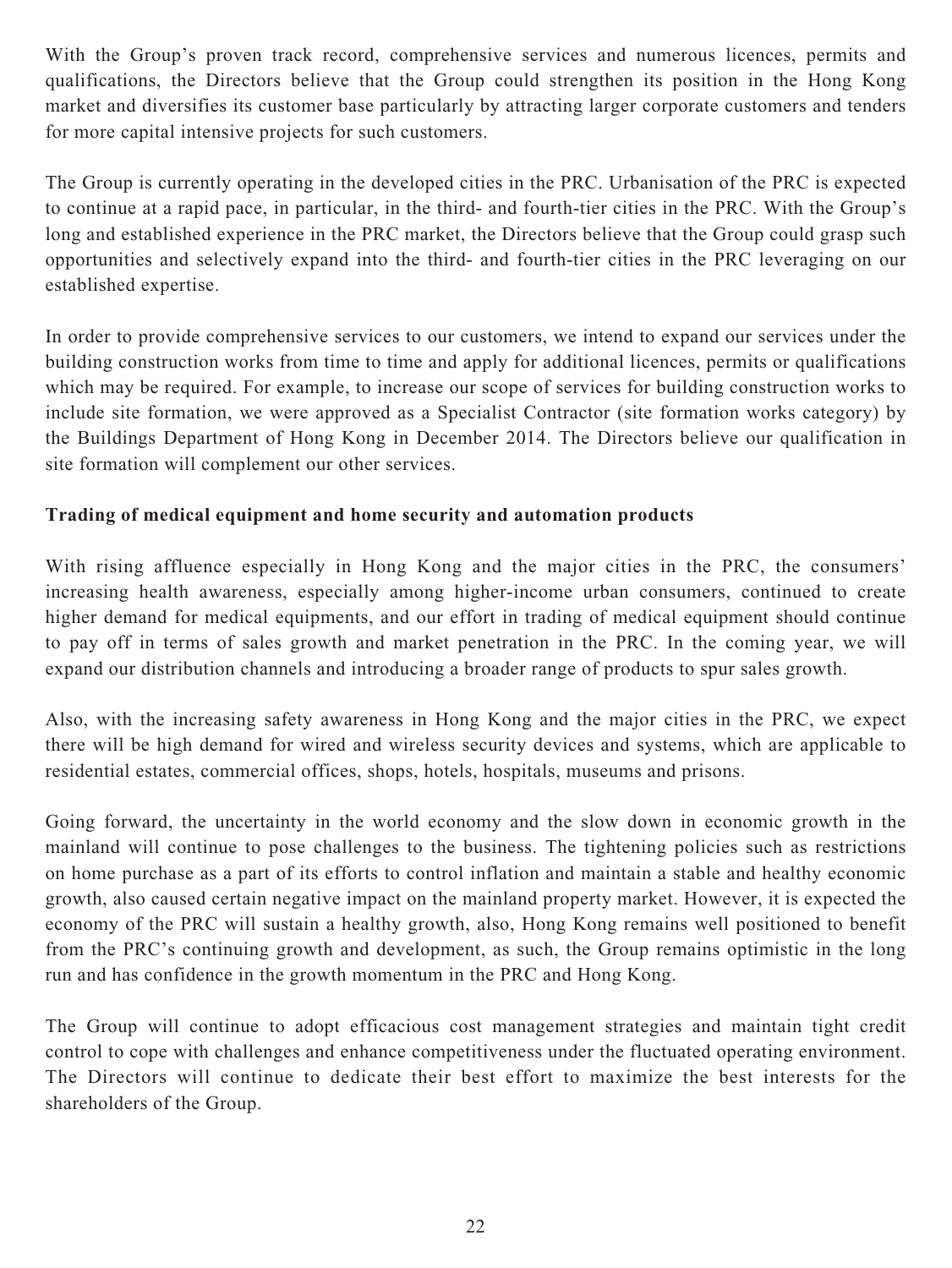With the Group's proven track record, comprehensive services and numerous licences, permits and qualifications, the Directors believe that the Group could strengthen its position in the Hong Kong market and diversifies its customer base particularly by attracting larger corporate customers and tenders for more capital intensive projects for such customers.

The Group is currently operating in the developed cities in the PRC. Urbanisation of the PRC is expected to continue at a rapid pace, in particular, in the third- and fourth-tier cities in the PRC. With the Group's long and established experience in the PRC market, the Directors believe that the Group could grasp such opportunities and selectively expand into the third- and fourth-tier cities in the PRC leveraging on our established expertise.

In order to provide comprehensive services to our customers, we intend to expand our services under the building construction works from time to time and apply for additional licences, permits or qualifications which may be required. For example, to increase our scope of services for building construction works to include site formation, we were approved as a Specialist Contractor (site formation works category) by the Buildings Department of Hong Kong in December 2014. The Directors believe our qualification in site formation will complement our other services.

# **Trading of medical equipment and home security and automation products**

With rising affluence especially in Hong Kong and the major cities in the PRC, the consumers' increasing health awareness, especially among higher-income urban consumers, continued to create higher demand for medical equipments, and our effort in trading of medical equipment should continue to pay off in terms of sales growth and market penetration in the PRC. In the coming year, we will expand our distribution channels and introducing a broader range of products to spur sales growth.

Also, with the increasing safety awareness in Hong Kong and the major cities in the PRC, we expect there will be high demand for wired and wireless security devices and systems, which are applicable to residential estates, commercial offices, shops, hotels, hospitals, museums and prisons.

Going forward, the uncertainty in the world economy and the slow down in economic growth in the mainland will continue to pose challenges to the business. The tightening policies such as restrictions on home purchase as a part of its efforts to control inflation and maintain a stable and healthy economic growth, also caused certain negative impact on the mainland property market. However, it is expected the economy of the PRC will sustain a healthy growth, also, Hong Kong remains well positioned to benefit from the PRC's continuing growth and development, as such, the Group remains optimistic in the long run and has confidence in the growth momentum in the PRC and Hong Kong.

The Group will continue to adopt efficacious cost management strategies and maintain tight credit control to cope with challenges and enhance competitiveness under the fluctuated operating environment. The Directors will continue to dedicate their best effort to maximize the best interests for the shareholders of the Group.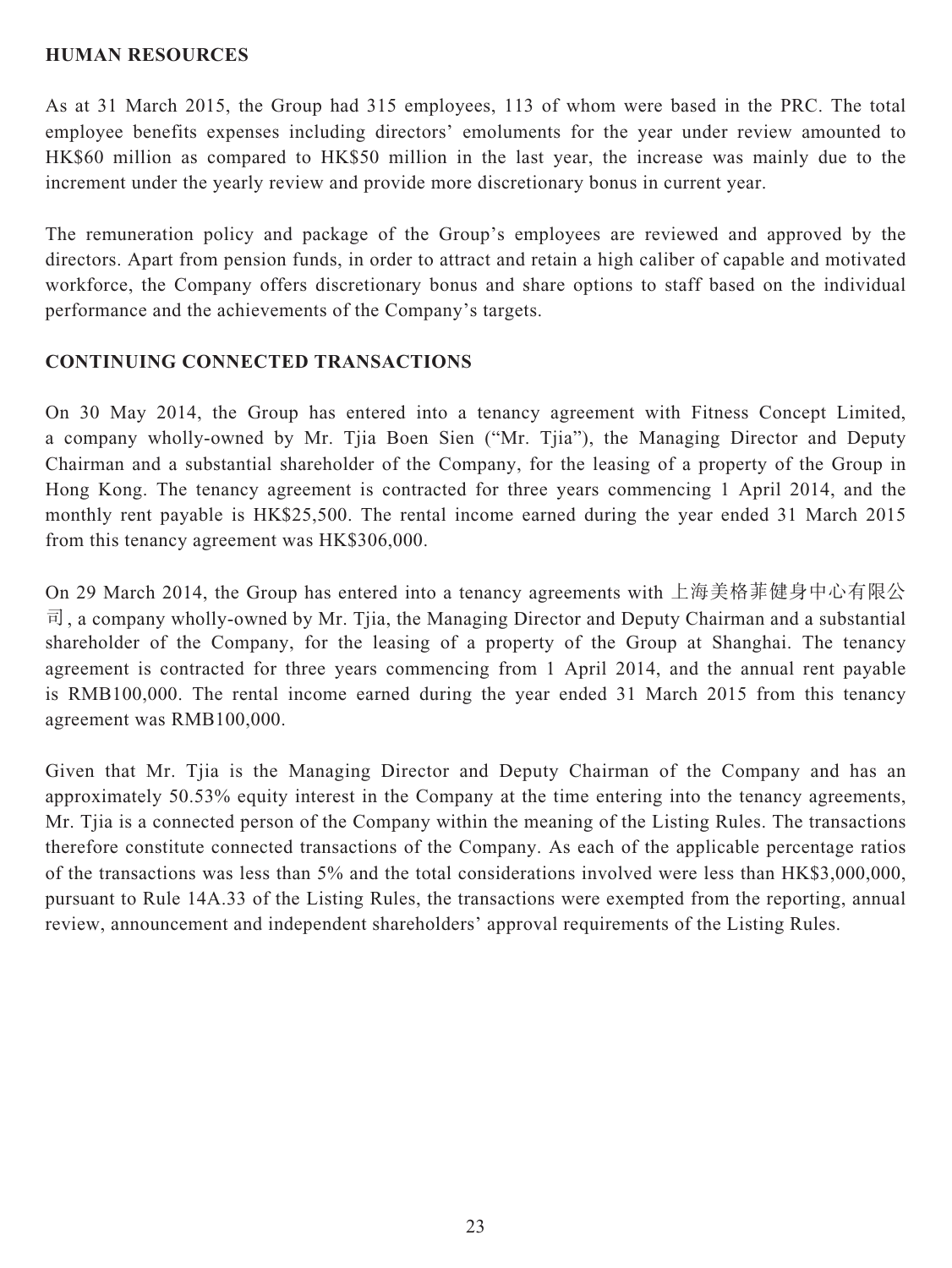### **HUMAN RESOURCES**

As at 31 March 2015, the Group had 315 employees, 113 of whom were based in the PRC. The total employee benefits expenses including directors' emoluments for the year under review amounted to HK\$60 million as compared to HK\$50 million in the last year, the increase was mainly due to the increment under the yearly review and provide more discretionary bonus in current year.

The remuneration policy and package of the Group's employees are reviewed and approved by the directors. Apart from pension funds, in order to attract and retain a high caliber of capable and motivated workforce, the Company offers discretionary bonus and share options to staff based on the individual performance and the achievements of the Company's targets.

### **CONTINUING CONNECTED TRANSACTIONS**

On 30 May 2014, the Group has entered into a tenancy agreement with Fitness Concept Limited, a company wholly-owned by Mr. Tjia Boen Sien ("Mr. Tjia"), the Managing Director and Deputy Chairman and a substantial shareholder of the Company, for the leasing of a property of the Group in Hong Kong. The tenancy agreement is contracted for three years commencing 1 April 2014, and the monthly rent payable is HK\$25,500. The rental income earned during the year ended 31 March 2015 from this tenancy agreement was HK\$306,000.

On 29 March 2014, the Group has entered into a tenancy agreements with 上海美格菲健身中心有限公  $\vec{\mathbb{q}}$ , a company wholly-owned by Mr. Tija, the Managing Director and Deputy Chairman and a substantial shareholder of the Company, for the leasing of a property of the Group at Shanghai. The tenancy agreement is contracted for three years commencing from 1 April 2014, and the annual rent payable is RMB100,000. The rental income earned during the year ended 31 March 2015 from this tenancy agreement was RMB100,000.

Given that Mr. Tjia is the Managing Director and Deputy Chairman of the Company and has an approximately 50.53% equity interest in the Company at the time entering into the tenancy agreements, Mr. Tjia is a connected person of the Company within the meaning of the Listing Rules. The transactions therefore constitute connected transactions of the Company. As each of the applicable percentage ratios of the transactions was less than 5% and the total considerations involved were less than HK\$3,000,000, pursuant to Rule 14A.33 of the Listing Rules, the transactions were exempted from the reporting, annual review, announcement and independent shareholders' approval requirements of the Listing Rules.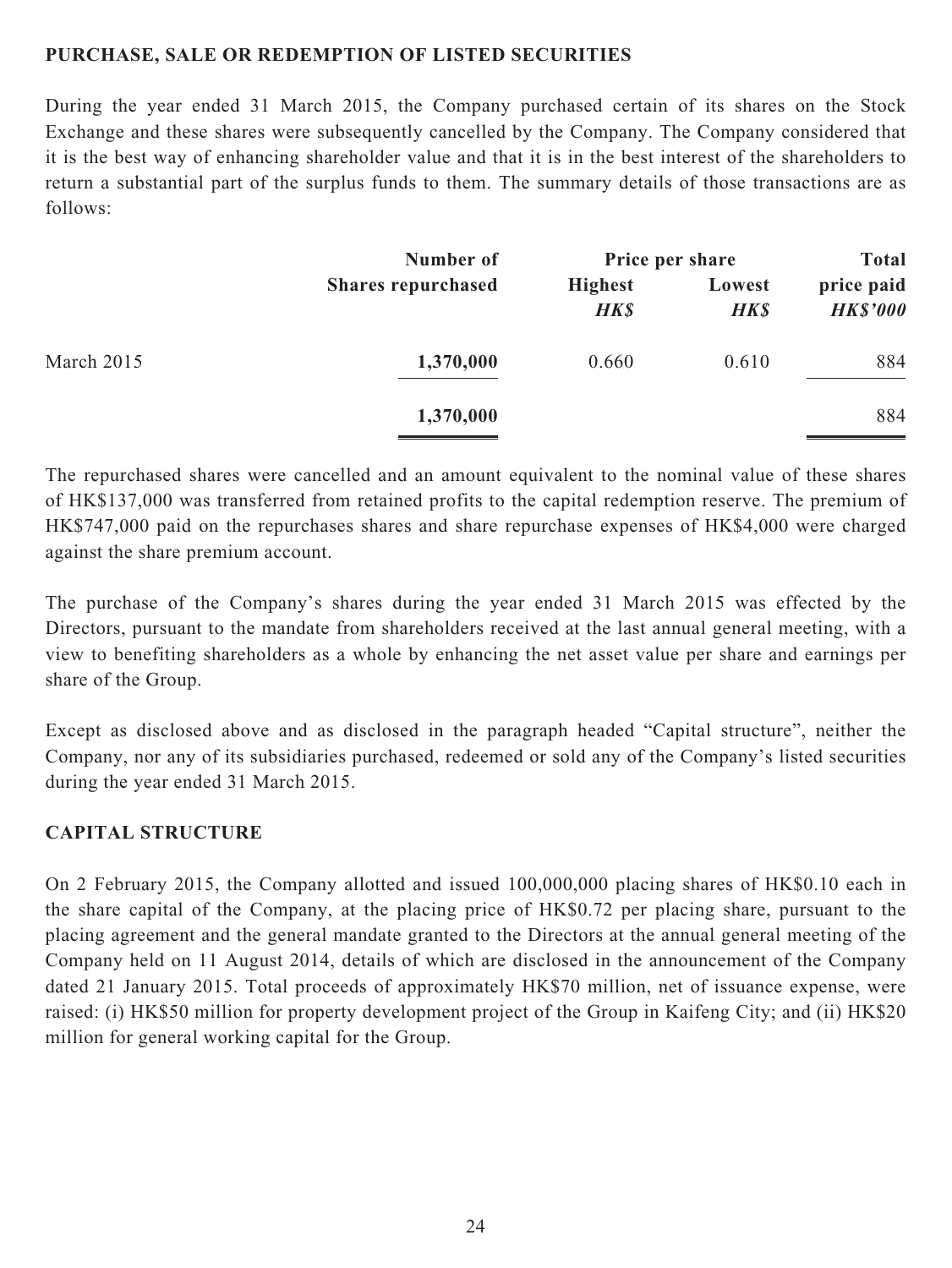### **PURCHASE, SALE OR REDEMPTION OF LISTED SECURITIES**

During the year ended 31 March 2015, the Company purchased certain of its shares on the Stock Exchange and these shares were subsequently cancelled by the Company. The Company considered that it is the best way of enhancing shareholder value and that it is in the best interest of the shareholders to return a substantial part of the surplus funds to them. The summary details of those transactions are as follows:

|            | Number of                 | Price per share               |                       | <b>Total</b>                  |  |
|------------|---------------------------|-------------------------------|-----------------------|-------------------------------|--|
|            | <b>Shares repurchased</b> | <b>Highest</b><br><b>HK\$</b> | Lowest<br><b>HK\$</b> | price paid<br><b>HK\$'000</b> |  |
| March 2015 | 1,370,000                 | 0.660                         | 0.610                 | 884                           |  |
|            | 1,370,000                 |                               |                       | 884                           |  |

The repurchased shares were cancelled and an amount equivalent to the nominal value of these shares of HK\$137,000 was transferred from retained profits to the capital redemption reserve. The premium of HK\$747,000 paid on the repurchases shares and share repurchase expenses of HK\$4,000 were charged against the share premium account.

The purchase of the Company's shares during the year ended 31 March 2015 was effected by the Directors, pursuant to the mandate from shareholders received at the last annual general meeting, with a view to benefiting shareholders as a whole by enhancing the net asset value per share and earnings per share of the Group.

Except as disclosed above and as disclosed in the paragraph headed "Capital structure", neither the Company, nor any of its subsidiaries purchased, redeemed or sold any of the Company's listed securities during the year ended 31 March 2015.

# **CAPITAL STRUCTURE**

On 2 February 2015, the Company allotted and issued 100,000,000 placing shares of HK\$0.10 each in the share capital of the Company, at the placing price of HK\$0.72 per placing share, pursuant to the placing agreement and the general mandate granted to the Directors at the annual general meeting of the Company held on 11 August 2014, details of which are disclosed in the announcement of the Company dated 21 January 2015. Total proceeds of approximately HK\$70 million, net of issuance expense, were raised: (i) HK\$50 million for property development project of the Group in Kaifeng City; and (ii) HK\$20 million for general working capital for the Group.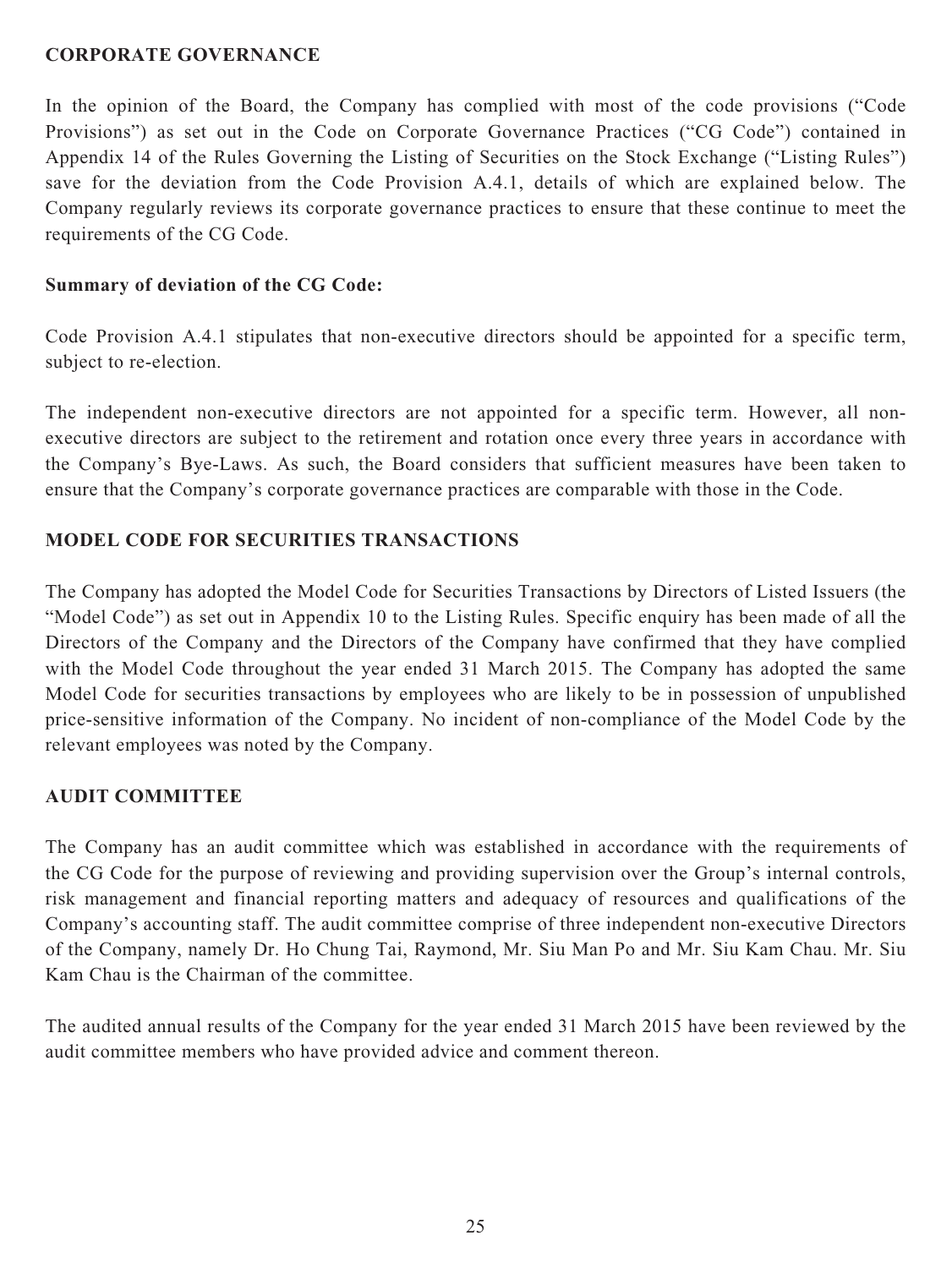### **CORPORATE GOVERNANCE**

In the opinion of the Board, the Company has complied with most of the code provisions ("Code Provisions") as set out in the Code on Corporate Governance Practices ("CG Code") contained in Appendix 14 of the Rules Governing the Listing of Securities on the Stock Exchange ("Listing Rules") save for the deviation from the Code Provision A.4.1, details of which are explained below. The Company regularly reviews its corporate governance practices to ensure that these continue to meet the requirements of the CG Code.

### **Summary of deviation of the CG Code:**

Code Provision A.4.1 stipulates that non-executive directors should be appointed for a specific term, subject to re-election.

The independent non-executive directors are not appointed for a specific term. However, all nonexecutive directors are subject to the retirement and rotation once every three years in accordance with the Company's Bye-Laws. As such, the Board considers that sufficient measures have been taken to ensure that the Company's corporate governance practices are comparable with those in the Code.

### **MODEL CODE FOR SECURITIES TRANSACTIONS**

The Company has adopted the Model Code for Securities Transactions by Directors of Listed Issuers (the "Model Code") as set out in Appendix 10 to the Listing Rules. Specific enquiry has been made of all the Directors of the Company and the Directors of the Company have confirmed that they have complied with the Model Code throughout the year ended 31 March 2015. The Company has adopted the same Model Code for securities transactions by employees who are likely to be in possession of unpublished price-sensitive information of the Company. No incident of non-compliance of the Model Code by the relevant employees was noted by the Company.

### **AUDIT COMMITTEE**

The Company has an audit committee which was established in accordance with the requirements of the CG Code for the purpose of reviewing and providing supervision over the Group's internal controls, risk management and financial reporting matters and adequacy of resources and qualifications of the Company's accounting staff. The audit committee comprise of three independent non-executive Directors of the Company, namely Dr. Ho Chung Tai, Raymond, Mr. Siu Man Po and Mr. Siu Kam Chau. Mr. Siu Kam Chau is the Chairman of the committee.

The audited annual results of the Company for the year ended 31 March 2015 have been reviewed by the audit committee members who have provided advice and comment thereon.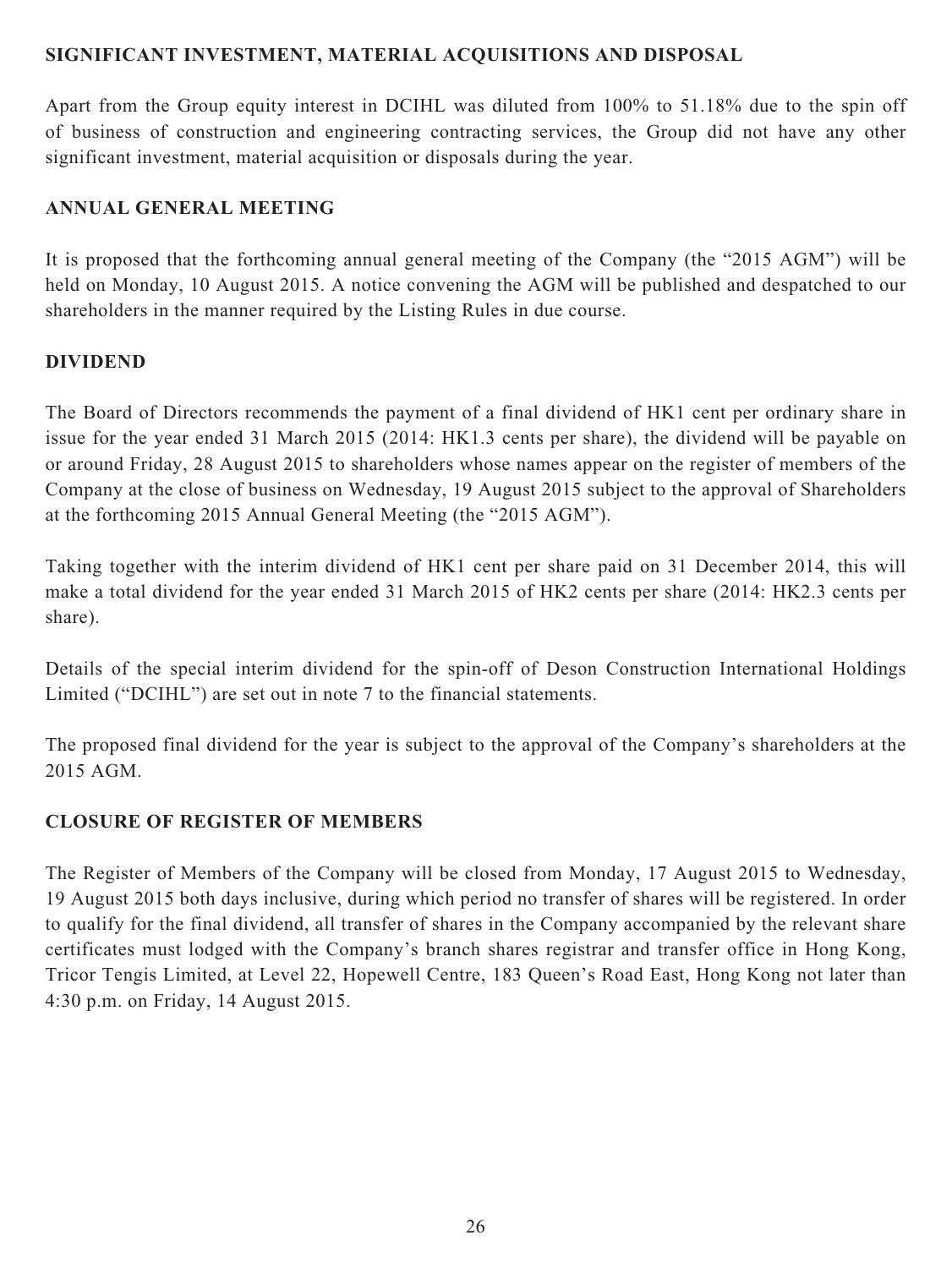### **SIGNIFICANT INVESTMENT, MATERIAL ACQUISITIONS AND DISPOSAL**

Apart from the Group equity interest in DCIHL was diluted from 100% to 51.18% due to the spin off of business of construction and engineering contracting services, the Group did not have any other significant investment, material acquisition or disposals during the year.

# **ANNUAL GENERAL MEETING**

It is proposed that the forthcoming annual general meeting of the Company (the "2015 AGM") will be held on Monday, 10 August 2015. A notice convening the AGM will be published and despatched to our shareholders in the manner required by the Listing Rules in due course.

# **DIVIDEND**

The Board of Directors recommends the payment of a final dividend of HK1 cent per ordinary share in issue for the year ended 31 March 2015 (2014: HK1.3 cents per share), the dividend will be payable on or around Friday, 28 August 2015 to shareholders whose names appear on the register of members of the Company at the close of business on Wednesday, 19 August 2015 subject to the approval of Shareholders at the forthcoming 2015 Annual General Meeting (the "2015 AGM").

Taking together with the interim dividend of HK1 cent per share paid on 31 December 2014, this will make a total dividend for the year ended 31 March 2015 of HK2 cents per share (2014: HK2.3 cents per share).

Details of the special interim dividend for the spin-off of Deson Construction International Holdings Limited ("DCIHL") are set out in note 7 to the financial statements.

The proposed final dividend for the year is subject to the approval of the Company's shareholders at the 2015 AGM.

# **CLOSURE OF REGISTER OF MEMBERS**

The Register of Members of the Company will be closed from Monday, 17 August 2015 to Wednesday, 19 August 2015 both days inclusive, during which period no transfer of shares will be registered. In order to qualify for the final dividend, all transfer of shares in the Company accompanied by the relevant share certificates must lodged with the Company's branch shares registrar and transfer office in Hong Kong, Tricor Tengis Limited, at Level 22, Hopewell Centre, 183 Queen's Road East, Hong Kong not later than 4:30 p.m. on Friday, 14 August 2015.